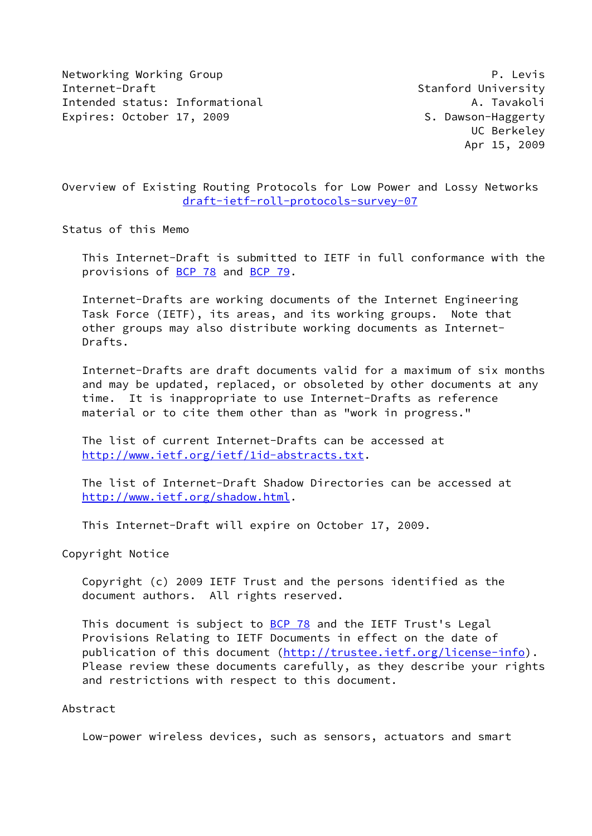Networking Working Group **P. Lexis** Internet-Draft Stanford University Intended status: Informational A. Tavakoli Expires: October 17, 2009 S. Dawson-Haggerty

 UC Berkeley Apr 15, 2009

Overview of Existing Routing Protocols for Low Power and Lossy Networks [draft-ietf-roll-protocols-survey-07](https://datatracker.ietf.org/doc/pdf/draft-ietf-roll-protocols-survey-07)

Status of this Memo

 This Internet-Draft is submitted to IETF in full conformance with the provisions of [BCP 78](https://datatracker.ietf.org/doc/pdf/bcp78) and [BCP 79](https://datatracker.ietf.org/doc/pdf/bcp79).

 Internet-Drafts are working documents of the Internet Engineering Task Force (IETF), its areas, and its working groups. Note that other groups may also distribute working documents as Internet- Drafts.

 Internet-Drafts are draft documents valid for a maximum of six months and may be updated, replaced, or obsoleted by other documents at any time. It is inappropriate to use Internet-Drafts as reference material or to cite them other than as "work in progress."

 The list of current Internet-Drafts can be accessed at <http://www.ietf.org/ietf/1id-abstracts.txt>.

 The list of Internet-Draft Shadow Directories can be accessed at <http://www.ietf.org/shadow.html>.

This Internet-Draft will expire on October 17, 2009.

Copyright Notice

 Copyright (c) 2009 IETF Trust and the persons identified as the document authors. All rights reserved.

This document is subject to **[BCP 78](https://datatracker.ietf.org/doc/pdf/bcp78)** and the IETF Trust's Legal Provisions Relating to IETF Documents in effect on the date of publication of this document [\(http://trustee.ietf.org/license-info](http://trustee.ietf.org/license-info)). Please review these documents carefully, as they describe your rights and restrictions with respect to this document.

## Abstract

Low-power wireless devices, such as sensors, actuators and smart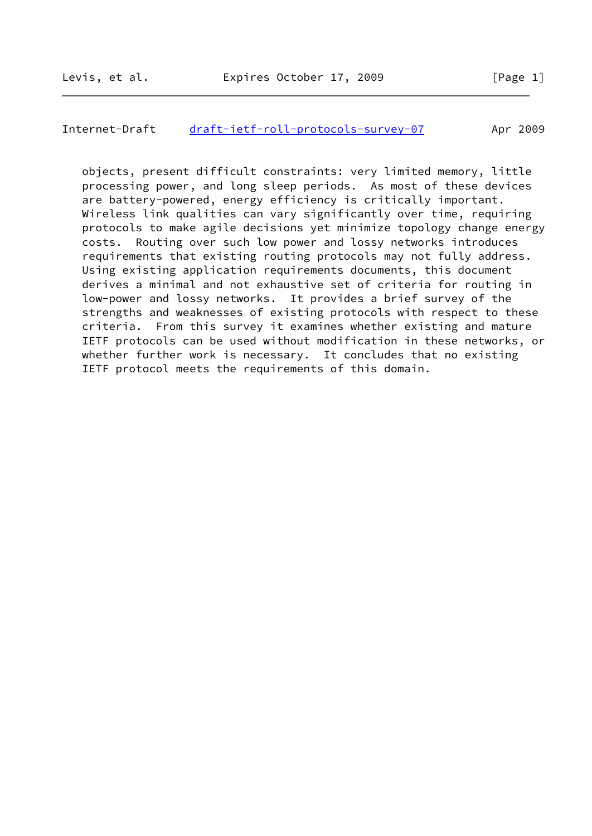#### Internet-Draft [draft-ietf-roll-protocols-survey-07](https://datatracker.ietf.org/doc/pdf/draft-ietf-roll-protocols-survey-07) Apr 2009

 objects, present difficult constraints: very limited memory, little processing power, and long sleep periods. As most of these devices are battery-powered, energy efficiency is critically important. Wireless link qualities can vary significantly over time, requiring protocols to make agile decisions yet minimize topology change energy costs. Routing over such low power and lossy networks introduces requirements that existing routing protocols may not fully address. Using existing application requirements documents, this document derives a minimal and not exhaustive set of criteria for routing in low-power and lossy networks. It provides a brief survey of the strengths and weaknesses of existing protocols with respect to these criteria. From this survey it examines whether existing and mature IETF protocols can be used without modification in these networks, or whether further work is necessary. It concludes that no existing IETF protocol meets the requirements of this domain.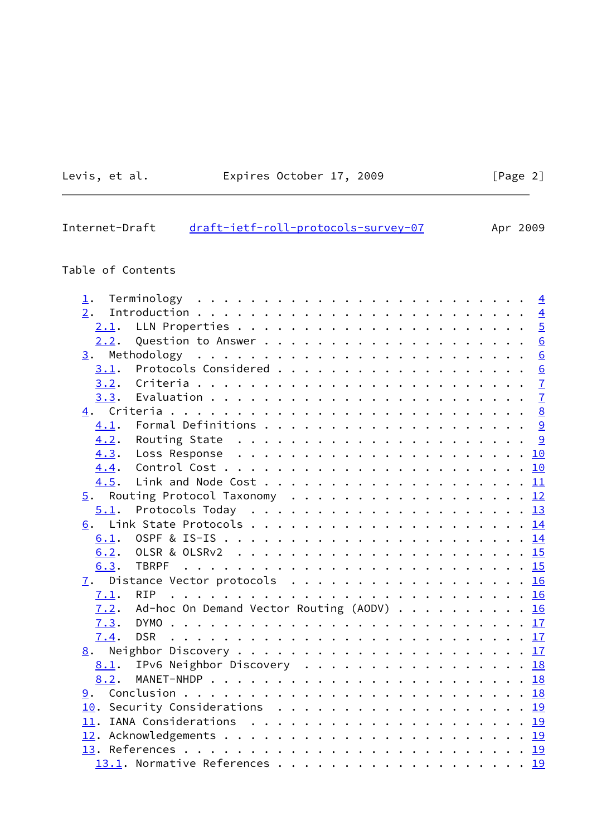# Levis, et al. Expires October 17, 2009 [Page 2]

## Internet-Draft [draft-ietf-roll-protocols-survey-07](https://datatracker.ietf.org/doc/pdf/draft-ietf-roll-protocols-survey-07) Apr 2009

## Table of Contents

| $\mathbf 1$ . |                                                                                 |  |  |  |  |  |
|---------------|---------------------------------------------------------------------------------|--|--|--|--|--|
| 2.            |                                                                                 |  |  |  |  |  |
| 2.1.          |                                                                                 |  |  |  |  |  |
|               |                                                                                 |  |  |  |  |  |
|               |                                                                                 |  |  |  |  |  |
|               |                                                                                 |  |  |  |  |  |
| 3.2.          |                                                                                 |  |  |  |  |  |
|               |                                                                                 |  |  |  |  |  |
|               |                                                                                 |  |  |  |  |  |
| 4.1.          |                                                                                 |  |  |  |  |  |
|               |                                                                                 |  |  |  |  |  |
|               |                                                                                 |  |  |  |  |  |
|               |                                                                                 |  |  |  |  |  |
|               |                                                                                 |  |  |  |  |  |
|               | 5. Routing Protocol Taxonomy 12                                                 |  |  |  |  |  |
| 5.1.          | Protocols Today $\ldots \ldots \ldots \ldots \ldots \ldots \ldots \frac{13}{2}$ |  |  |  |  |  |
|               |                                                                                 |  |  |  |  |  |
| 6.1.          |                                                                                 |  |  |  |  |  |
|               |                                                                                 |  |  |  |  |  |
| 6.3.          |                                                                                 |  |  |  |  |  |
|               | 7. Distance Vector protocols 16                                                 |  |  |  |  |  |
| 7.1.          |                                                                                 |  |  |  |  |  |
|               | $\overline{7.2}$ . Ad-hoc On Demand Vector Routing (AODV) 16                    |  |  |  |  |  |
|               |                                                                                 |  |  |  |  |  |
| 7.4.          |                                                                                 |  |  |  |  |  |
|               |                                                                                 |  |  |  |  |  |
|               | 8.1. IPv6 Neighbor Discovery 18                                                 |  |  |  |  |  |
| 8.2.          |                                                                                 |  |  |  |  |  |
|               |                                                                                 |  |  |  |  |  |
|               | 10. Security Considerations 19                                                  |  |  |  |  |  |
|               |                                                                                 |  |  |  |  |  |
|               |                                                                                 |  |  |  |  |  |
|               |                                                                                 |  |  |  |  |  |
|               |                                                                                 |  |  |  |  |  |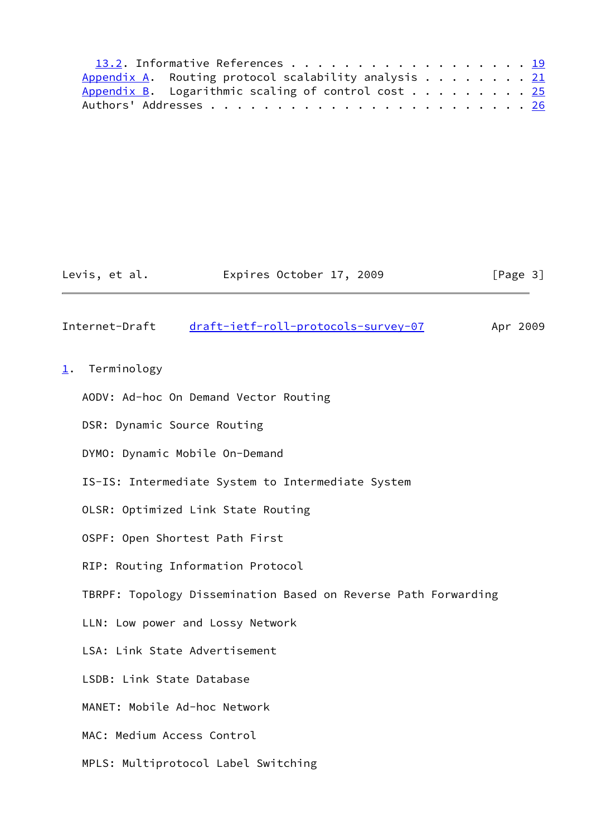| 13.2. Informative References 19                               |  |  |
|---------------------------------------------------------------|--|--|
| Appendix A. Routing protocol scalability analysis $\ldots$ 21 |  |  |
| Appendix B. Logarithmic scaling of control cost $\dots$ 25    |  |  |
|                                                               |  |  |

## Levis, et al. **Expires October 17, 2009** [Page 3]

## <span id="page-3-1"></span>Internet-Draft [draft-ietf-roll-protocols-survey-07](https://datatracker.ietf.org/doc/pdf/draft-ietf-roll-protocols-survey-07) Apr 2009

#### <span id="page-3-0"></span>[1](#page-3-0). Terminology

- AODV: Ad-hoc On Demand Vector Routing
- DSR: Dynamic Source Routing
- DYMO: Dynamic Mobile On-Demand
- IS-IS: Intermediate System to Intermediate System
- OLSR: Optimized Link State Routing
- OSPF: Open Shortest Path First
- RIP: Routing Information Protocol
- TBRPF: Topology Dissemination Based on Reverse Path Forwarding
- LLN: Low power and Lossy Network
- LSA: Link State Advertisement
- LSDB: Link State Database
- MANET: Mobile Ad-hoc Network
- MAC: Medium Access Control
- MPLS: Multiprotocol Label Switching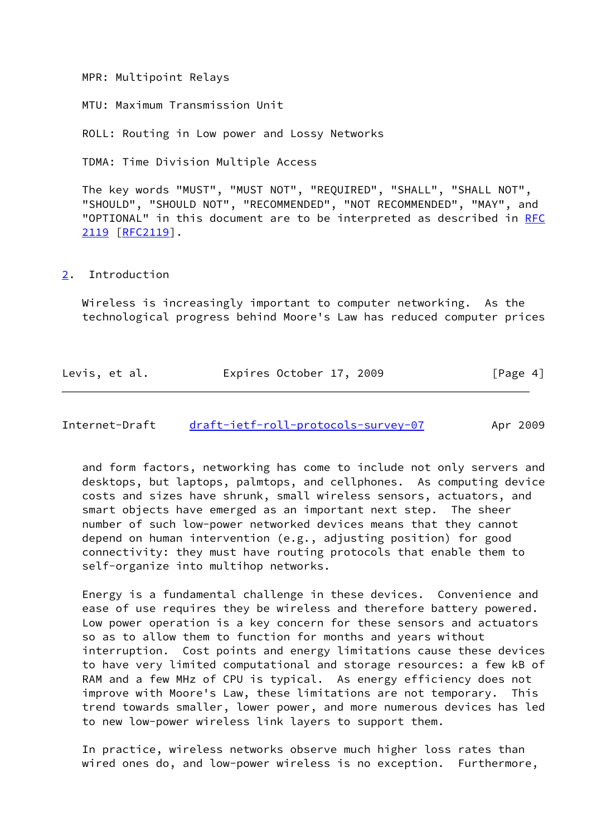MPR: Multipoint Relays

MTU: Maximum Transmission Unit

ROLL: Routing in Low power and Lossy Networks

TDMA: Time Division Multiple Access

 The key words "MUST", "MUST NOT", "REQUIRED", "SHALL", "SHALL NOT", "SHOULD", "SHOULD NOT", "RECOMMENDED", "NOT RECOMMENDED", "MAY", and "OPTIONAL" in this document are to be interpreted as described in [RFC](https://datatracker.ietf.org/doc/pdf/rfc2119) [2119](https://datatracker.ietf.org/doc/pdf/rfc2119) [\[RFC2119](https://datatracker.ietf.org/doc/pdf/rfc2119)].

#### <span id="page-4-0"></span>[2](#page-4-0). Introduction

 Wireless is increasingly important to computer networking. As the technological progress behind Moore's Law has reduced computer prices

| Levis, et al. | Expires October 17, 2009 | [Page 4] |
|---------------|--------------------------|----------|
|---------------|--------------------------|----------|

<span id="page-4-1"></span>Internet-Draft [draft-ietf-roll-protocols-survey-07](https://datatracker.ietf.org/doc/pdf/draft-ietf-roll-protocols-survey-07) Apr 2009

 and form factors, networking has come to include not only servers and desktops, but laptops, palmtops, and cellphones. As computing device costs and sizes have shrunk, small wireless sensors, actuators, and smart objects have emerged as an important next step. The sheer number of such low-power networked devices means that they cannot depend on human intervention (e.g., adjusting position) for good connectivity: they must have routing protocols that enable them to self-organize into multihop networks.

 Energy is a fundamental challenge in these devices. Convenience and ease of use requires they be wireless and therefore battery powered. Low power operation is a key concern for these sensors and actuators so as to allow them to function for months and years without interruption. Cost points and energy limitations cause these devices to have very limited computational and storage resources: a few kB of RAM and a few MHz of CPU is typical. As energy efficiency does not improve with Moore's Law, these limitations are not temporary. This trend towards smaller, lower power, and more numerous devices has led to new low-power wireless link layers to support them.

 In practice, wireless networks observe much higher loss rates than wired ones do, and low-power wireless is no exception. Furthermore,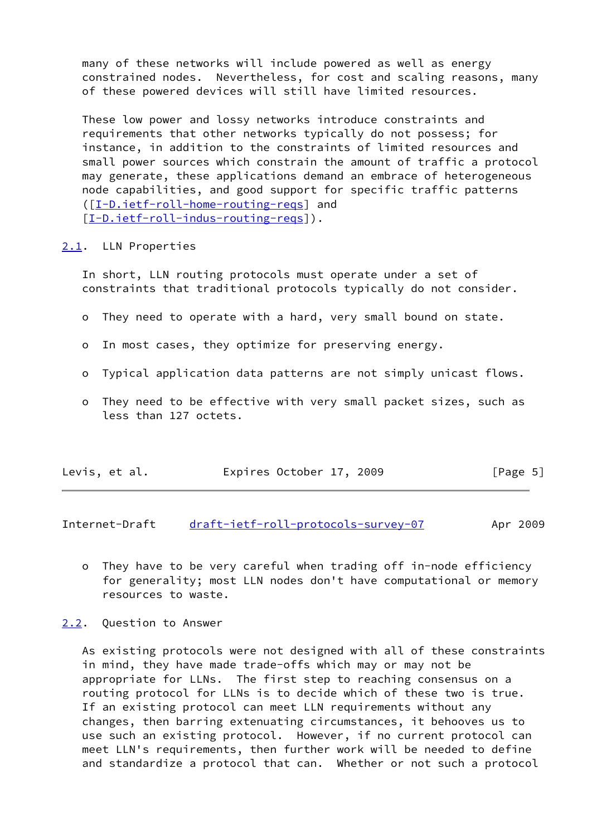many of these networks will include powered as well as energy constrained nodes. Nevertheless, for cost and scaling reasons, many of these powered devices will still have limited resources.

 These low power and lossy networks introduce constraints and requirements that other networks typically do not possess; for instance, in addition to the constraints of limited resources and small power sources which constrain the amount of traffic a protocol may generate, these applications demand an embrace of heterogeneous node capabilities, and good support for specific traffic patterns ([\[I-D.ietf-roll-home-routing-reqs](#page-21-3)] and [\[I-D.ietf-roll-indus-routing-reqs](#page-21-4)]).

#### <span id="page-5-0"></span>[2.1](#page-5-0). LLN Properties

 In short, LLN routing protocols must operate under a set of constraints that traditional protocols typically do not consider.

- o They need to operate with a hard, very small bound on state.
- o In most cases, they optimize for preserving energy.
- o Typical application data patterns are not simply unicast flows.
- o They need to be effective with very small packet sizes, such as less than 127 octets.

| Levis, et al. | Expires October 17, 2009 | [Page 5] |
|---------------|--------------------------|----------|
|---------------|--------------------------|----------|

<span id="page-5-2"></span>Internet-Draft [draft-ietf-roll-protocols-survey-07](https://datatracker.ietf.org/doc/pdf/draft-ietf-roll-protocols-survey-07) Apr 2009

- o They have to be very careful when trading off in-node efficiency for generality; most LLN nodes don't have computational or memory resources to waste.
- <span id="page-5-1"></span>[2.2](#page-5-1). Question to Answer

 As existing protocols were not designed with all of these constraints in mind, they have made trade-offs which may or may not be appropriate for LLNs. The first step to reaching consensus on a routing protocol for LLNs is to decide which of these two is true. If an existing protocol can meet LLN requirements without any changes, then barring extenuating circumstances, it behooves us to use such an existing protocol. However, if no current protocol can meet LLN's requirements, then further work will be needed to define and standardize a protocol that can. Whether or not such a protocol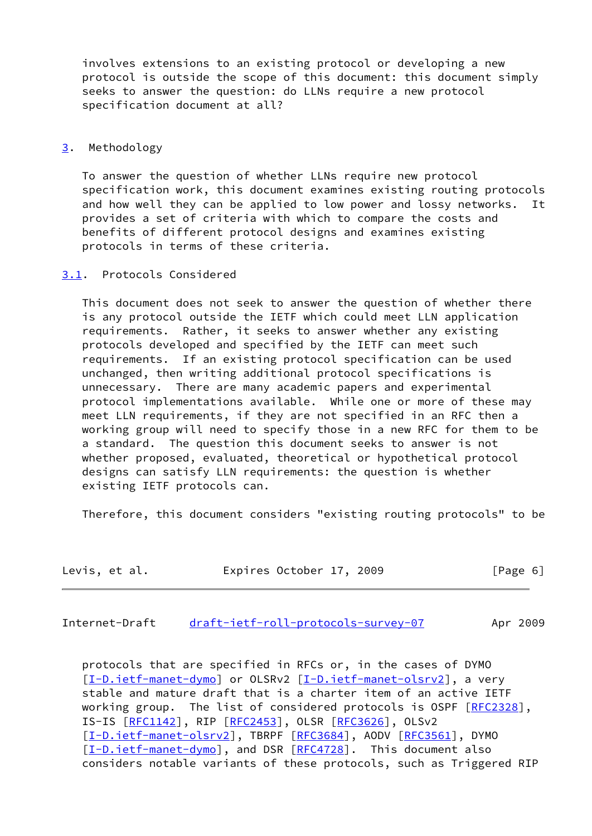involves extensions to an existing protocol or developing a new protocol is outside the scope of this document: this document simply seeks to answer the question: do LLNs require a new protocol specification document at all?

#### <span id="page-6-0"></span>[3](#page-6-0). Methodology

 To answer the question of whether LLNs require new protocol specification work, this document examines existing routing protocols and how well they can be applied to low power and lossy networks. It provides a set of criteria with which to compare the costs and benefits of different protocol designs and examines existing protocols in terms of these criteria.

## <span id="page-6-1"></span>[3.1](#page-6-1). Protocols Considered

 This document does not seek to answer the question of whether there is any protocol outside the IETF which could meet LLN application requirements. Rather, it seeks to answer whether any existing protocols developed and specified by the IETF can meet such requirements. If an existing protocol specification can be used unchanged, then writing additional protocol specifications is unnecessary. There are many academic papers and experimental protocol implementations available. While one or more of these may meet LLN requirements, if they are not specified in an RFC then a working group will need to specify those in a new RFC for them to be a standard. The question this document seeks to answer is not whether proposed, evaluated, theoretical or hypothetical protocol designs can satisfy LLN requirements: the question is whether existing IETF protocols can.

Therefore, this document considers "existing routing protocols" to be

| Levis, et al. |  | Expires October 17, 2009 |  |  | [Page 6] |  |  |  |
|---------------|--|--------------------------|--|--|----------|--|--|--|
|---------------|--|--------------------------|--|--|----------|--|--|--|

<span id="page-6-2"></span>Internet-Draft [draft-ietf-roll-protocols-survey-07](https://datatracker.ietf.org/doc/pdf/draft-ietf-roll-protocols-survey-07) Apr 2009

 protocols that are specified in RFCs or, in the cases of DYMO [\[I-D.ietf-manet-dymo](#page-21-5)] or OLSRv2 [\[I-D.ietf-manet-olsrv2](#page-21-6)], a very stable and mature draft that is a charter item of an active IETF working group. The list of considered protocols is OSPF [\[RFC2328](https://datatracker.ietf.org/doc/pdf/rfc2328)], IS-IS [[RFC1142](https://datatracker.ietf.org/doc/pdf/rfc1142)], RIP [\[RFC2453](https://datatracker.ietf.org/doc/pdf/rfc2453)], OLSR [\[RFC3626](https://datatracker.ietf.org/doc/pdf/rfc3626)], OLSv2 [\[I-D.ietf-manet-olsrv2](#page-21-6)], TBRPF [\[RFC3684](https://datatracker.ietf.org/doc/pdf/rfc3684)], AODV [\[RFC3561](https://datatracker.ietf.org/doc/pdf/rfc3561)], DYMO [\[I-D.ietf-manet-dymo](#page-21-5)], and DSR [\[RFC4728](https://datatracker.ietf.org/doc/pdf/rfc4728)]. This document also considers notable variants of these protocols, such as Triggered RIP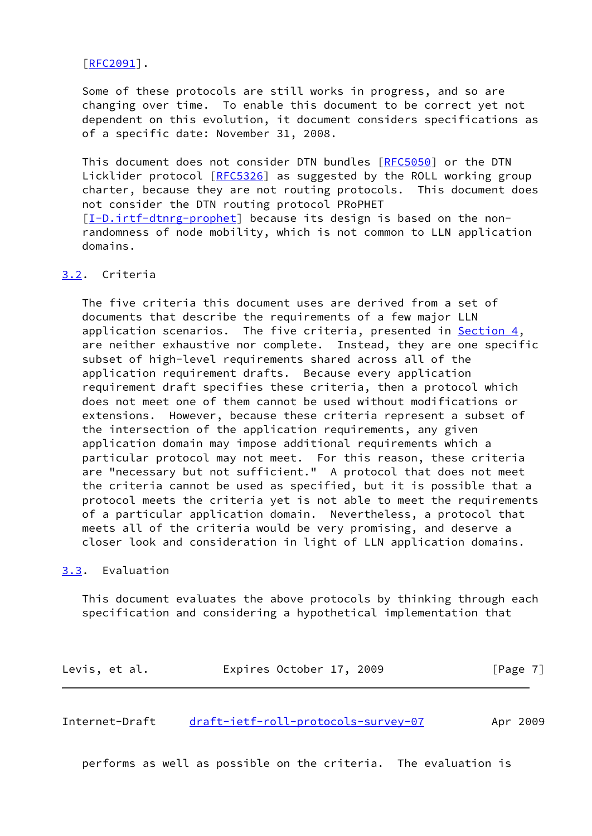#### [\[RFC2091](https://datatracker.ietf.org/doc/pdf/rfc2091)].

 Some of these protocols are still works in progress, and so are changing over time. To enable this document to be correct yet not dependent on this evolution, it document considers specifications as of a specific date: November 31, 2008.

This document does not consider DTN bundles [\[RFC5050](https://datatracker.ietf.org/doc/pdf/rfc5050)] or the DTN Licklider protocol [[RFC5326\]](https://datatracker.ietf.org/doc/pdf/rfc5326) as suggested by the ROLL working group charter, because they are not routing protocols. This document does not consider the DTN routing protocol PRoPHET [\[I-D.irtf-dtnrg-prophet](#page-22-1)] because its design is based on the non randomness of node mobility, which is not common to LLN application domains.

## <span id="page-7-0"></span>[3.2](#page-7-0). Criteria

 The five criteria this document uses are derived from a set of documents that describe the requirements of a few major LLN application scenarios. The five criteria, presented in [Section 4](#page-8-0), are neither exhaustive nor complete. Instead, they are one specific subset of high-level requirements shared across all of the application requirement drafts. Because every application requirement draft specifies these criteria, then a protocol which does not meet one of them cannot be used without modifications or extensions. However, because these criteria represent a subset of the intersection of the application requirements, any given application domain may impose additional requirements which a particular protocol may not meet. For this reason, these criteria are "necessary but not sufficient." A protocol that does not meet the criteria cannot be used as specified, but it is possible that a protocol meets the criteria yet is not able to meet the requirements of a particular application domain. Nevertheless, a protocol that meets all of the criteria would be very promising, and deserve a closer look and consideration in light of LLN application domains.

#### <span id="page-7-1"></span>[3.3](#page-7-1). Evaluation

 This document evaluates the above protocols by thinking through each specification and considering a hypothetical implementation that

| Levis, et al. | Expires October 17, 2009 |  | [Page 7] |
|---------------|--------------------------|--|----------|
|---------------|--------------------------|--|----------|

<span id="page-7-2"></span>Internet-Draft [draft-ietf-roll-protocols-survey-07](https://datatracker.ietf.org/doc/pdf/draft-ietf-roll-protocols-survey-07) Apr 2009

performs as well as possible on the criteria. The evaluation is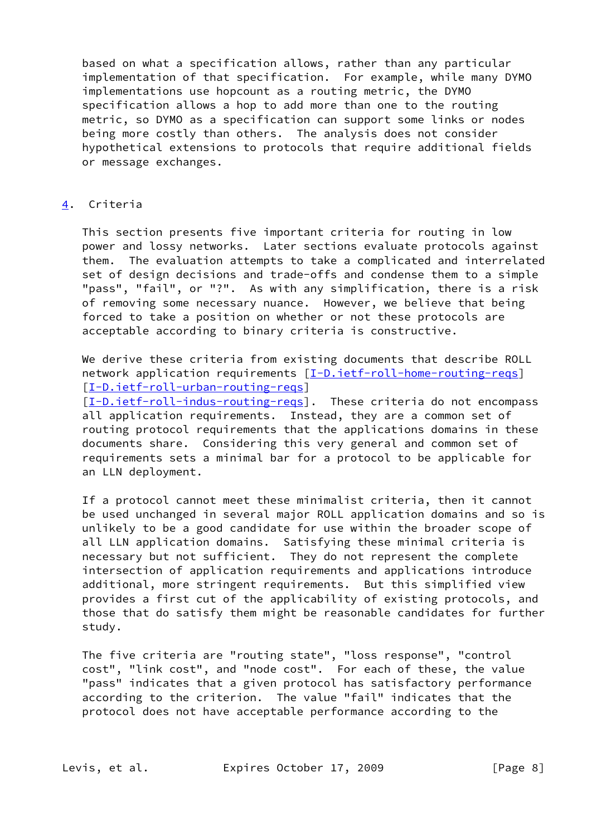based on what a specification allows, rather than any particular implementation of that specification. For example, while many DYMO implementations use hopcount as a routing metric, the DYMO specification allows a hop to add more than one to the routing metric, so DYMO as a specification can support some links or nodes being more costly than others. The analysis does not consider hypothetical extensions to protocols that require additional fields or message exchanges.

## <span id="page-8-0"></span>[4](#page-8-0). Criteria

 This section presents five important criteria for routing in low power and lossy networks. Later sections evaluate protocols against them. The evaluation attempts to take a complicated and interrelated set of design decisions and trade-offs and condense them to a simple "pass", "fail", or "?". As with any simplification, there is a risk of removing some necessary nuance. However, we believe that being forced to take a position on whether or not these protocols are acceptable according to binary criteria is constructive.

 We derive these criteria from existing documents that describe ROLL network application requirements  $[I-D.iett-roll-home-routine-regs]$ [\[I-D.ietf-roll-urban-routing-reqs](#page-22-2)]

[\[I-D.ietf-roll-indus-routing-reqs](#page-21-4)]. These criteria do not encompass all application requirements. Instead, they are a common set of routing protocol requirements that the applications domains in these documents share. Considering this very general and common set of requirements sets a minimal bar for a protocol to be applicable for an LLN deployment.

 If a protocol cannot meet these minimalist criteria, then it cannot be used unchanged in several major ROLL application domains and so is unlikely to be a good candidate for use within the broader scope of all LLN application domains. Satisfying these minimal criteria is necessary but not sufficient. They do not represent the complete intersection of application requirements and applications introduce additional, more stringent requirements. But this simplified view provides a first cut of the applicability of existing protocols, and those that do satisfy them might be reasonable candidates for further study.

 The five criteria are "routing state", "loss response", "control cost", "link cost", and "node cost". For each of these, the value "pass" indicates that a given protocol has satisfactory performance according to the criterion. The value "fail" indicates that the protocol does not have acceptable performance according to the

Levis, et al. **Expires October 17, 2009** [Page 8]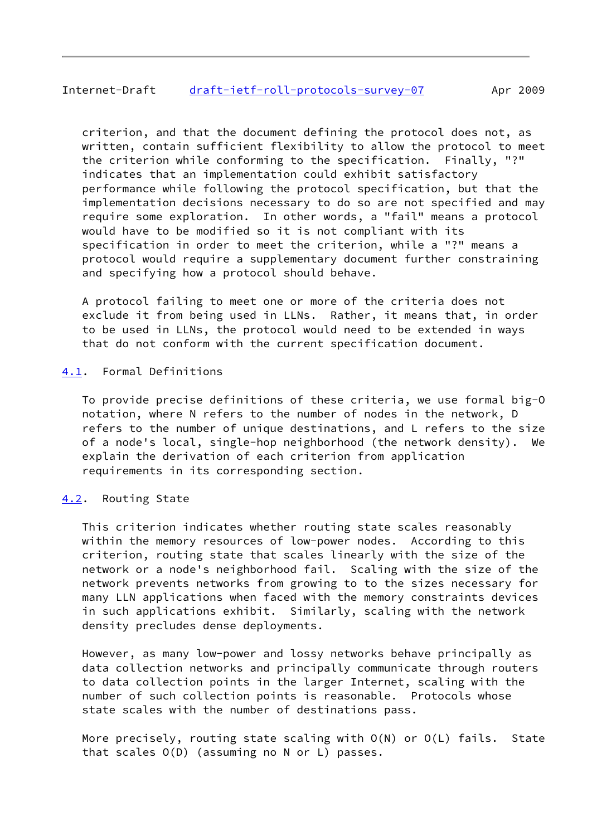## <span id="page-9-1"></span>Internet-Draft [draft-ietf-roll-protocols-survey-07](https://datatracker.ietf.org/doc/pdf/draft-ietf-roll-protocols-survey-07) Apr 2009

 criterion, and that the document defining the protocol does not, as written, contain sufficient flexibility to allow the protocol to meet the criterion while conforming to the specification. Finally, "?" indicates that an implementation could exhibit satisfactory performance while following the protocol specification, but that the implementation decisions necessary to do so are not specified and may require some exploration. In other words, a "fail" means a protocol would have to be modified so it is not compliant with its specification in order to meet the criterion, while a "?" means a protocol would require a supplementary document further constraining and specifying how a protocol should behave.

 A protocol failing to meet one or more of the criteria does not exclude it from being used in LLNs. Rather, it means that, in order to be used in LLNs, the protocol would need to be extended in ways that do not conform with the current specification document.

## <span id="page-9-0"></span>[4.1](#page-9-0). Formal Definitions

 To provide precise definitions of these criteria, we use formal big-O notation, where N refers to the number of nodes in the network, D refers to the number of unique destinations, and L refers to the size of a node's local, single-hop neighborhood (the network density). We explain the derivation of each criterion from application requirements in its corresponding section.

<span id="page-9-2"></span>[4.2](#page-9-2). Routing State

 This criterion indicates whether routing state scales reasonably within the memory resources of low-power nodes. According to this criterion, routing state that scales linearly with the size of the network or a node's neighborhood fail. Scaling with the size of the network prevents networks from growing to to the sizes necessary for many LLN applications when faced with the memory constraints devices in such applications exhibit. Similarly, scaling with the network density precludes dense deployments.

 However, as many low-power and lossy networks behave principally as data collection networks and principally communicate through routers to data collection points in the larger Internet, scaling with the number of such collection points is reasonable. Protocols whose state scales with the number of destinations pass.

 More precisely, routing state scaling with O(N) or O(L) fails. State that scales O(D) (assuming no N or L) passes.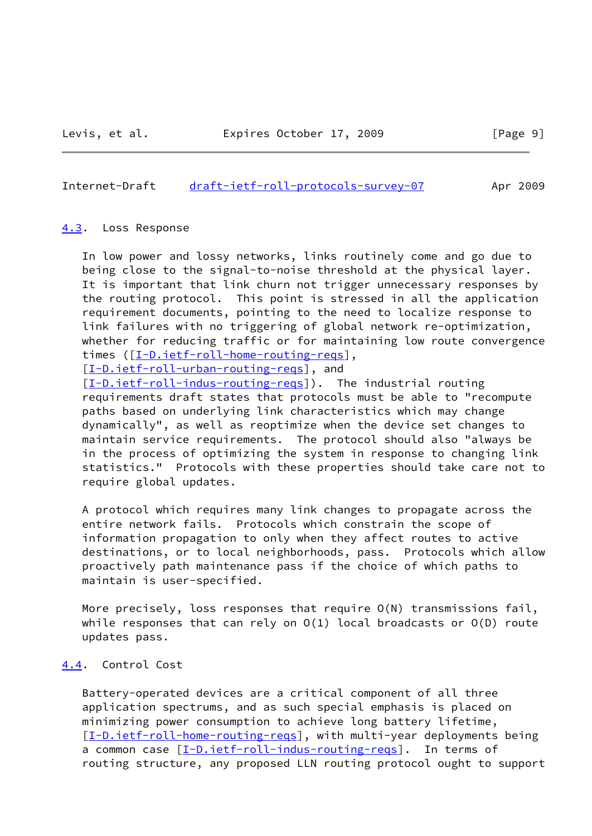#### <span id="page-10-1"></span>Internet-Draft [draft-ietf-roll-protocols-survey-07](https://datatracker.ietf.org/doc/pdf/draft-ietf-roll-protocols-survey-07) Apr 2009

#### <span id="page-10-0"></span>[4.3](#page-10-0). Loss Response

 In low power and lossy networks, links routinely come and go due to being close to the signal-to-noise threshold at the physical layer. It is important that link churn not trigger unnecessary responses by the routing protocol. This point is stressed in all the application requirement documents, pointing to the need to localize response to link failures with no triggering of global network re-optimization, whether for reducing traffic or for maintaining low route convergence times ([\[I-D.ietf-roll-home-routing-reqs](#page-21-3)],

[\[I-D.ietf-roll-urban-routing-reqs](#page-22-2)], and

 [\[I-D.ietf-roll-indus-routing-reqs](#page-21-4)]). The industrial routing requirements draft states that protocols must be able to "recompute paths based on underlying link characteristics which may change dynamically", as well as reoptimize when the device set changes to maintain service requirements. The protocol should also "always be in the process of optimizing the system in response to changing link statistics." Protocols with these properties should take care not to require global updates.

 A protocol which requires many link changes to propagate across the entire network fails. Protocols which constrain the scope of information propagation to only when they affect routes to active destinations, or to local neighborhoods, pass. Protocols which allow proactively path maintenance pass if the choice of which paths to maintain is user-specified.

 More precisely, loss responses that require O(N) transmissions fail, while responses that can rely on  $O(1)$  local broadcasts or  $O(D)$  route updates pass.

#### <span id="page-10-2"></span>[4.4](#page-10-2). Control Cost

 Battery-operated devices are a critical component of all three application spectrums, and as such special emphasis is placed on minimizing power consumption to achieve long battery lifetime, [\[I-D.ietf-roll-home-routing-reqs](#page-21-3)], with multi-year deployments being a common case [[I-D.ietf-roll-indus-routing-reqs\]](#page-21-4). In terms of routing structure, any proposed LLN routing protocol ought to support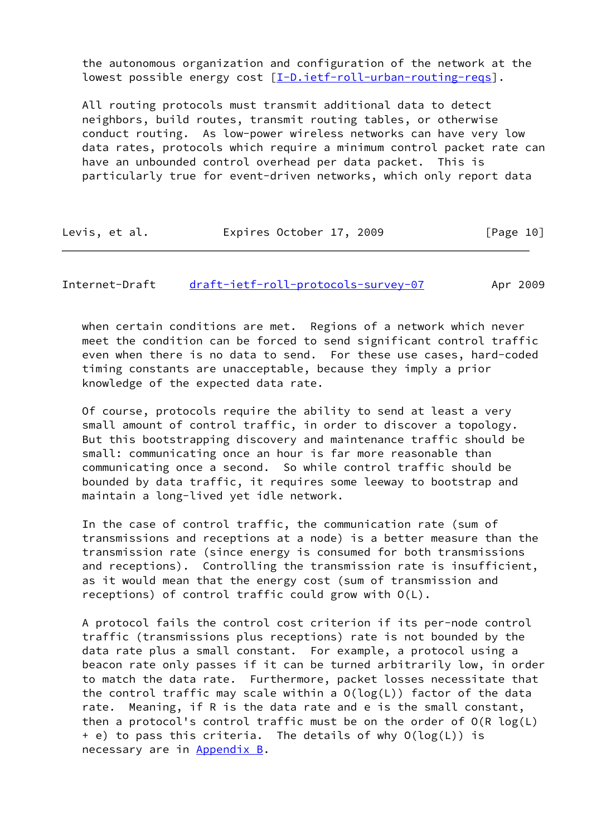the autonomous organization and configuration of the network at the lowest possible energy cost [\[I-D.ietf-roll-urban-routing-reqs](#page-22-2)].

 All routing protocols must transmit additional data to detect neighbors, build routes, transmit routing tables, or otherwise conduct routing. As low-power wireless networks can have very low data rates, protocols which require a minimum control packet rate can have an unbounded control overhead per data packet. This is particularly true for event-driven networks, which only report data

| Levis, et al. | Expires October 17, 2009 | [Page 10] |
|---------------|--------------------------|-----------|
|---------------|--------------------------|-----------|

<span id="page-11-0"></span>Internet-Draft [draft-ietf-roll-protocols-survey-07](https://datatracker.ietf.org/doc/pdf/draft-ietf-roll-protocols-survey-07) Apr 2009

 when certain conditions are met. Regions of a network which never meet the condition can be forced to send significant control traffic even when there is no data to send. For these use cases, hard-coded timing constants are unacceptable, because they imply a prior knowledge of the expected data rate.

 Of course, protocols require the ability to send at least a very small amount of control traffic, in order to discover a topology. But this bootstrapping discovery and maintenance traffic should be small: communicating once an hour is far more reasonable than communicating once a second. So while control traffic should be bounded by data traffic, it requires some leeway to bootstrap and maintain a long-lived yet idle network.

 In the case of control traffic, the communication rate (sum of transmissions and receptions at a node) is a better measure than the transmission rate (since energy is consumed for both transmissions and receptions). Controlling the transmission rate is insufficient, as it would mean that the energy cost (sum of transmission and receptions) of control traffic could grow with O(L).

 A protocol fails the control cost criterion if its per-node control traffic (transmissions plus receptions) rate is not bounded by the data rate plus a small constant. For example, a protocol using a beacon rate only passes if it can be turned arbitrarily low, in order to match the data rate. Furthermore, packet losses necessitate that the control traffic may scale within a O(log(L)) factor of the data rate. Meaning, if R is the data rate and e is the small constant, then a protocol's control traffic must be on the order of O(R log(L) + e) to pass this criteria. The details of why O(log(L)) is necessary are in [Appendix B.](#page-27-0)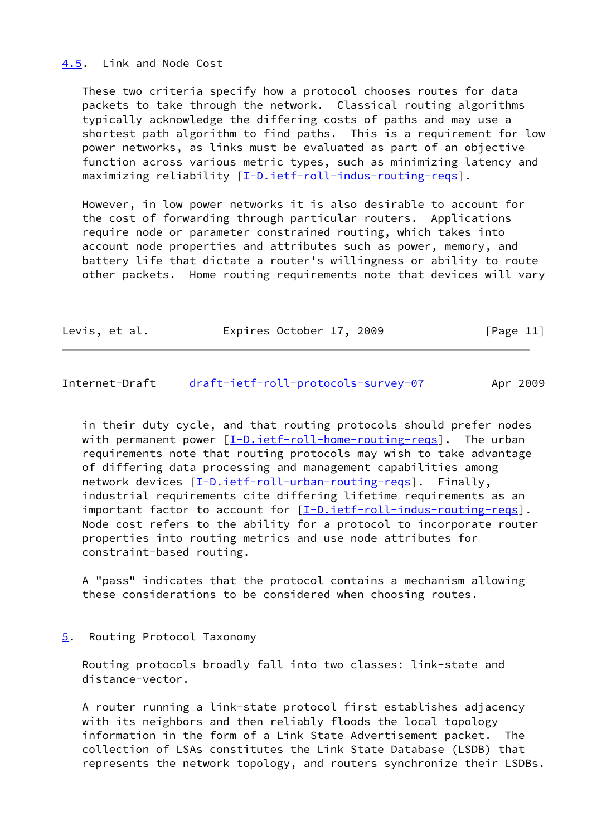#### <span id="page-12-0"></span>[4.5](#page-12-0). Link and Node Cost

 These two criteria specify how a protocol chooses routes for data packets to take through the network. Classical routing algorithms typically acknowledge the differing costs of paths and may use a shortest path algorithm to find paths. This is a requirement for low power networks, as links must be evaluated as part of an objective function across various metric types, such as minimizing latency and maximizing reliability [\[I-D.ietf-roll-indus-routing-reqs](#page-21-4)].

 However, in low power networks it is also desirable to account for the cost of forwarding through particular routers. Applications require node or parameter constrained routing, which takes into account node properties and attributes such as power, memory, and battery life that dictate a router's willingness or ability to route other packets. Home routing requirements note that devices will vary

| Levis, et al. | Expires October 17, 2009 | [Page 11] |
|---------------|--------------------------|-----------|
|               |                          |           |

<span id="page-12-2"></span>Internet-Draft [draft-ietf-roll-protocols-survey-07](https://datatracker.ietf.org/doc/pdf/draft-ietf-roll-protocols-survey-07) Apr 2009

 in their duty cycle, and that routing protocols should prefer nodes with permanent power  $[\underline{I-D.iett-roll-home-routine-regs}]$ . The urban requirements note that routing protocols may wish to take advantage of differing data processing and management capabilities among network devices [\[I-D.ietf-roll-urban-routing-reqs](#page-22-2)]. Finally, industrial requirements cite differing lifetime requirements as an important factor to account for [\[I-D.ietf-roll-indus-routing-reqs](#page-21-4)]. Node cost refers to the ability for a protocol to incorporate router properties into routing metrics and use node attributes for constraint-based routing.

 A "pass" indicates that the protocol contains a mechanism allowing these considerations to be considered when choosing routes.

## <span id="page-12-1"></span>[5](#page-12-1). Routing Protocol Taxonomy

 Routing protocols broadly fall into two classes: link-state and distance-vector.

 A router running a link-state protocol first establishes adjacency with its neighbors and then reliably floods the local topology information in the form of a Link State Advertisement packet. The collection of LSAs constitutes the Link State Database (LSDB) that represents the network topology, and routers synchronize their LSDBs.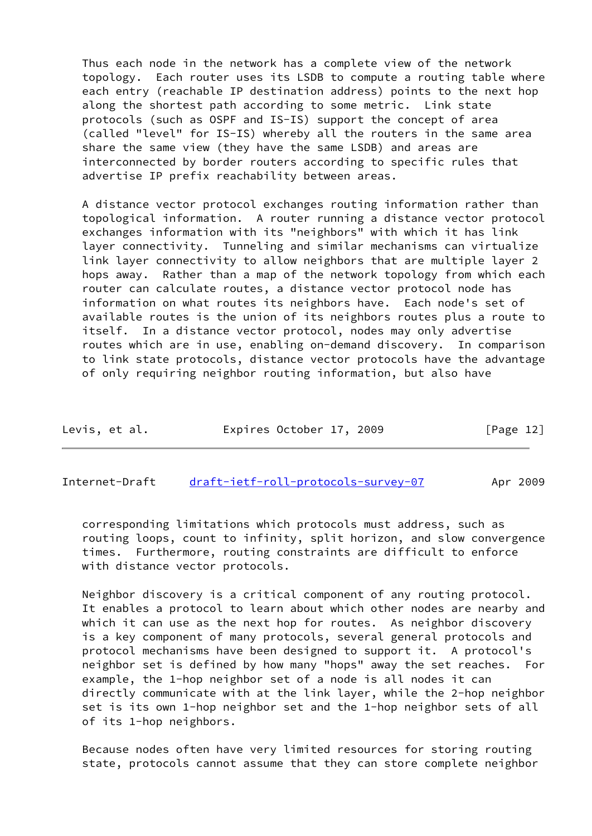Thus each node in the network has a complete view of the network topology. Each router uses its LSDB to compute a routing table where each entry (reachable IP destination address) points to the next hop along the shortest path according to some metric. Link state protocols (such as OSPF and IS-IS) support the concept of area (called "level" for IS-IS) whereby all the routers in the same area share the same view (they have the same LSDB) and areas are interconnected by border routers according to specific rules that advertise IP prefix reachability between areas.

 A distance vector protocol exchanges routing information rather than topological information. A router running a distance vector protocol exchanges information with its "neighbors" with which it has link layer connectivity. Tunneling and similar mechanisms can virtualize link layer connectivity to allow neighbors that are multiple layer 2 hops away. Rather than a map of the network topology from which each router can calculate routes, a distance vector protocol node has information on what routes its neighbors have. Each node's set of available routes is the union of its neighbors routes plus a route to itself. In a distance vector protocol, nodes may only advertise routes which are in use, enabling on-demand discovery. In comparison to link state protocols, distance vector protocols have the advantage of only requiring neighbor routing information, but also have

| Levis, et al. | Expires October 17, 2009 | [Page 12] |
|---------------|--------------------------|-----------|
|---------------|--------------------------|-----------|

<span id="page-13-0"></span>Internet-Draft [draft-ietf-roll-protocols-survey-07](https://datatracker.ietf.org/doc/pdf/draft-ietf-roll-protocols-survey-07) Apr 2009

 corresponding limitations which protocols must address, such as routing loops, count to infinity, split horizon, and slow convergence times. Furthermore, routing constraints are difficult to enforce with distance vector protocols.

 Neighbor discovery is a critical component of any routing protocol. It enables a protocol to learn about which other nodes are nearby and which it can use as the next hop for routes. As neighbor discovery is a key component of many protocols, several general protocols and protocol mechanisms have been designed to support it. A protocol's neighbor set is defined by how many "hops" away the set reaches. For example, the 1-hop neighbor set of a node is all nodes it can directly communicate with at the link layer, while the 2-hop neighbor set is its own 1-hop neighbor set and the 1-hop neighbor sets of all of its 1-hop neighbors.

 Because nodes often have very limited resources for storing routing state, protocols cannot assume that they can store complete neighbor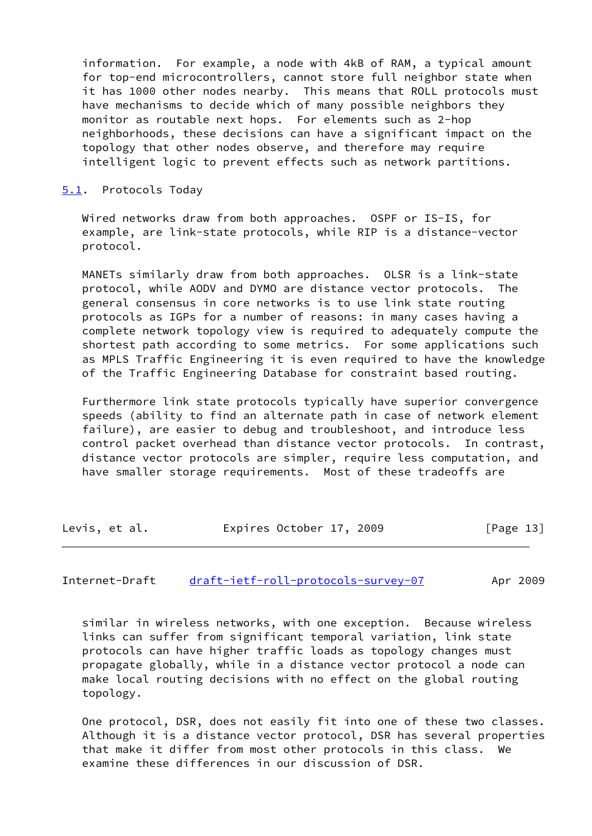information. For example, a node with 4kB of RAM, a typical amount for top-end microcontrollers, cannot store full neighbor state when it has 1000 other nodes nearby. This means that ROLL protocols must have mechanisms to decide which of many possible neighbors they monitor as routable next hops. For elements such as 2-hop neighborhoods, these decisions can have a significant impact on the topology that other nodes observe, and therefore may require intelligent logic to prevent effects such as network partitions.

#### <span id="page-14-0"></span>[5.1](#page-14-0). Protocols Today

 Wired networks draw from both approaches. OSPF or IS-IS, for example, are link-state protocols, while RIP is a distance-vector protocol.

 MANETs similarly draw from both approaches. OLSR is a link-state protocol, while AODV and DYMO are distance vector protocols. The general consensus in core networks is to use link state routing protocols as IGPs for a number of reasons: in many cases having a complete network topology view is required to adequately compute the shortest path according to some metrics. For some applications such as MPLS Traffic Engineering it is even required to have the knowledge of the Traffic Engineering Database for constraint based routing.

 Furthermore link state protocols typically have superior convergence speeds (ability to find an alternate path in case of network element failure), are easier to debug and troubleshoot, and introduce less control packet overhead than distance vector protocols. In contrast, distance vector protocols are simpler, require less computation, and have smaller storage requirements. Most of these tradeoffs are

| [Page 13]<br>Expires October 17, 2009<br>Levis, et al. |  |
|--------------------------------------------------------|--|
|--------------------------------------------------------|--|

## <span id="page-14-1"></span>Internet-Draft [draft-ietf-roll-protocols-survey-07](https://datatracker.ietf.org/doc/pdf/draft-ietf-roll-protocols-survey-07) Apr 2009

 similar in wireless networks, with one exception. Because wireless links can suffer from significant temporal variation, link state protocols can have higher traffic loads as topology changes must propagate globally, while in a distance vector protocol a node can make local routing decisions with no effect on the global routing topology.

 One protocol, DSR, does not easily fit into one of these two classes. Although it is a distance vector protocol, DSR has several properties that make it differ from most other protocols in this class. We examine these differences in our discussion of DSR.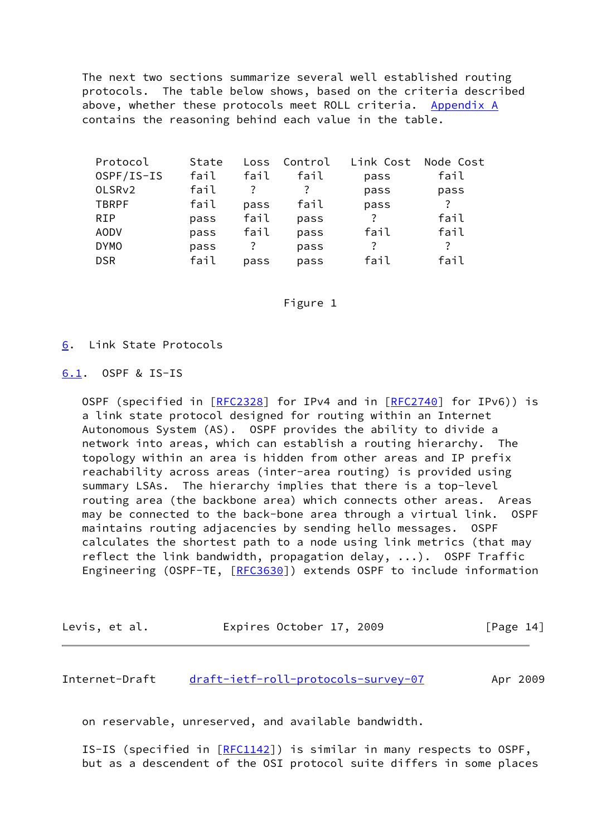The next two sections summarize several well established routing protocols. The table below shows, based on the criteria described above, whether these protocols meet ROLL criteria. [Appendix A](#page-23-0) contains the reasoning behind each value in the table.

| Protocol           | State | Loss | Control | Link Cost | Node Cost |
|--------------------|-------|------|---------|-----------|-----------|
| OSPF/IS-IS         | fail  | fail | fail    | pass      | fail      |
| OLSR <sub>v2</sub> | fail  | 7    |         | pass      | pass      |
| <b>TBRPF</b>       | fail  | pass | fail    | pass      | ?         |
| <b>RIP</b>         | pass  | fail | pass    | ?         | fail      |
| <b>AODV</b>        | pass  | fail | pass    | fail      | fail      |
| <b>DYMO</b>        | pass  | ?    | pass    | ?         | ?         |
| <b>DSR</b>         | fail  | pass | pass    | fail      | fail      |
|                    |       |      |         |           |           |

#### Figure 1

#### <span id="page-15-0"></span>[6](#page-15-0). Link State Protocols

<span id="page-15-1"></span>[6.1](#page-15-1). OSPF & IS-IS

OSPF (specified in [[RFC2328\]](https://datatracker.ietf.org/doc/pdf/rfc2328) for IPv4 and in [\[RFC2740](https://datatracker.ietf.org/doc/pdf/rfc2740)] for IPv6)) is a link state protocol designed for routing within an Internet Autonomous System (AS). OSPF provides the ability to divide a network into areas, which can establish a routing hierarchy. The topology within an area is hidden from other areas and IP prefix reachability across areas (inter-area routing) is provided using summary LSAs. The hierarchy implies that there is a top-level routing area (the backbone area) which connects other areas. Areas may be connected to the back-bone area through a virtual link. OSPF maintains routing adjacencies by sending hello messages. OSPF calculates the shortest path to a node using link metrics (that may reflect the link bandwidth, propagation delay, ...). OSPF Traffic Engineering (OSPF-TE, [[RFC3630](https://datatracker.ietf.org/doc/pdf/rfc3630)]) extends OSPF to include information

| Levis, et al. | Expires October 17, 2009 | [Page 14] |
|---------------|--------------------------|-----------|
|---------------|--------------------------|-----------|

<span id="page-15-2"></span>Internet-Draft [draft-ietf-roll-protocols-survey-07](https://datatracker.ietf.org/doc/pdf/draft-ietf-roll-protocols-survey-07) Apr 2009

on reservable, unreserved, and available bandwidth.

IS-IS (specified in [\[RFC1142](https://datatracker.ietf.org/doc/pdf/rfc1142)]) is similar in many respects to OSPF, but as a descendent of the OSI protocol suite differs in some places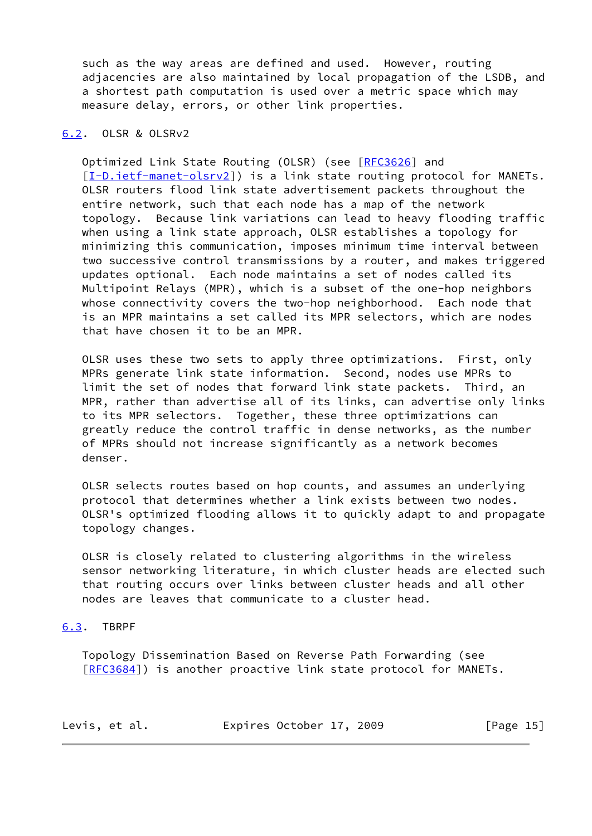such as the way areas are defined and used. However, routing adjacencies are also maintained by local propagation of the LSDB, and a shortest path computation is used over a metric space which may measure delay, errors, or other link properties.

## <span id="page-16-0"></span>[6.2](#page-16-0). OLSR & OLSRv2

 Optimized Link State Routing (OLSR) (see [\[RFC3626](https://datatracker.ietf.org/doc/pdf/rfc3626)] and [\[I-D.ietf-manet-olsrv2](#page-21-6)]) is a link state routing protocol for MANETs. OLSR routers flood link state advertisement packets throughout the entire network, such that each node has a map of the network topology. Because link variations can lead to heavy flooding traffic when using a link state approach, OLSR establishes a topology for minimizing this communication, imposes minimum time interval between two successive control transmissions by a router, and makes triggered updates optional. Each node maintains a set of nodes called its Multipoint Relays (MPR), which is a subset of the one-hop neighbors whose connectivity covers the two-hop neighborhood. Each node that is an MPR maintains a set called its MPR selectors, which are nodes that have chosen it to be an MPR.

 OLSR uses these two sets to apply three optimizations. First, only MPRs generate link state information. Second, nodes use MPRs to limit the set of nodes that forward link state packets. Third, an MPR, rather than advertise all of its links, can advertise only links to its MPR selectors. Together, these three optimizations can greatly reduce the control traffic in dense networks, as the number of MPRs should not increase significantly as a network becomes denser.

 OLSR selects routes based on hop counts, and assumes an underlying protocol that determines whether a link exists between two nodes. OLSR's optimized flooding allows it to quickly adapt to and propagate topology changes.

 OLSR is closely related to clustering algorithms in the wireless sensor networking literature, in which cluster heads are elected such that routing occurs over links between cluster heads and all other nodes are leaves that communicate to a cluster head.

## <span id="page-16-1"></span>[6.3](#page-16-1). TBRPF

 Topology Dissemination Based on Reverse Path Forwarding (see [\[RFC3684](https://datatracker.ietf.org/doc/pdf/rfc3684)]) is another proactive link state protocol for MANETs.

| Levis, et al. | Expires October 17, 2009 | [Page 15] |
|---------------|--------------------------|-----------|
|---------------|--------------------------|-----------|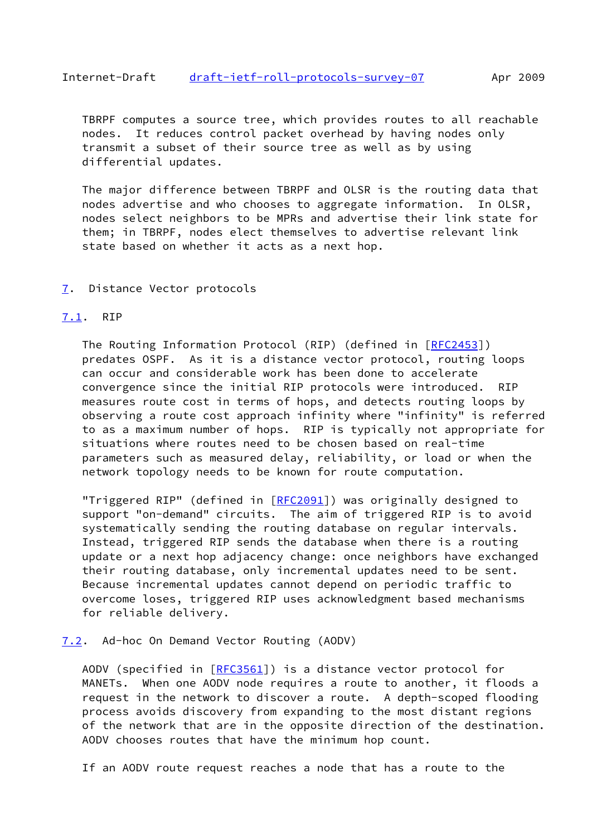<span id="page-17-1"></span> TBRPF computes a source tree, which provides routes to all reachable nodes. It reduces control packet overhead by having nodes only transmit a subset of their source tree as well as by using differential updates.

 The major difference between TBRPF and OLSR is the routing data that nodes advertise and who chooses to aggregate information. In OLSR, nodes select neighbors to be MPRs and advertise their link state for them; in TBRPF, nodes elect themselves to advertise relevant link state based on whether it acts as a next hop.

#### <span id="page-17-0"></span>[7](#page-17-0). Distance Vector protocols

## <span id="page-17-2"></span>[7.1](#page-17-2). RIP

The Routing Information Protocol (RIP) (defined in [[RFC2453\]](https://datatracker.ietf.org/doc/pdf/rfc2453)) predates OSPF. As it is a distance vector protocol, routing loops can occur and considerable work has been done to accelerate convergence since the initial RIP protocols were introduced. RIP measures route cost in terms of hops, and detects routing loops by observing a route cost approach infinity where "infinity" is referred to as a maximum number of hops. RIP is typically not appropriate for situations where routes need to be chosen based on real-time parameters such as measured delay, reliability, or load or when the network topology needs to be known for route computation.

 "Triggered RIP" (defined in [\[RFC2091](https://datatracker.ietf.org/doc/pdf/rfc2091)]) was originally designed to support "on-demand" circuits. The aim of triggered RIP is to avoid systematically sending the routing database on regular intervals. Instead, triggered RIP sends the database when there is a routing update or a next hop adjacency change: once neighbors have exchanged their routing database, only incremental updates need to be sent. Because incremental updates cannot depend on periodic traffic to overcome loses, triggered RIP uses acknowledgment based mechanisms for reliable delivery.

#### <span id="page-17-3"></span>[7.2](#page-17-3). Ad-hoc On Demand Vector Routing (AODV)

AODV (specified in [[RFC3561\]](https://datatracker.ietf.org/doc/pdf/rfc3561)) is a distance vector protocol for MANETs. When one AODV node requires a route to another, it floods a request in the network to discover a route. A depth-scoped flooding process avoids discovery from expanding to the most distant regions of the network that are in the opposite direction of the destination. AODV chooses routes that have the minimum hop count.

If an AODV route request reaches a node that has a route to the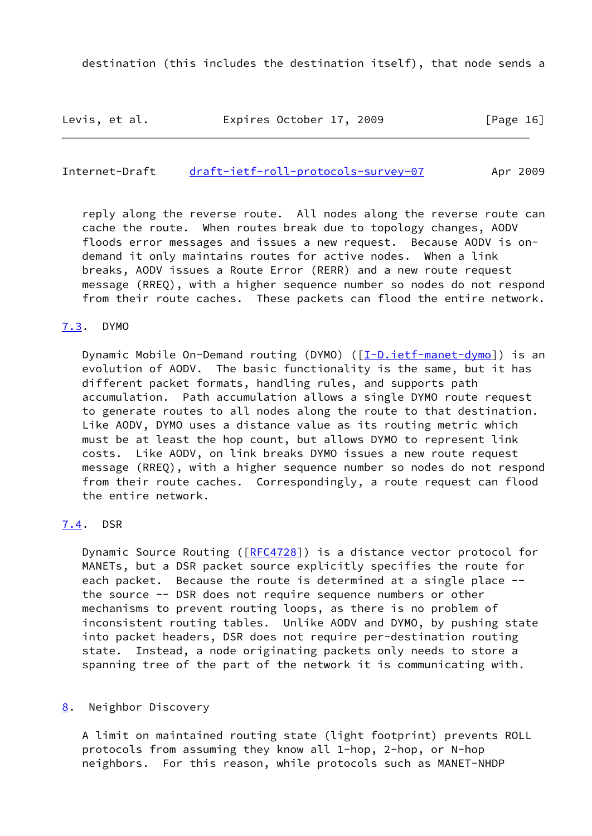Levis, et al. Expires October 17, 2009 [Page 16]

<span id="page-18-1"></span>Internet-Draft [draft-ietf-roll-protocols-survey-07](https://datatracker.ietf.org/doc/pdf/draft-ietf-roll-protocols-survey-07) Apr 2009

 reply along the reverse route. All nodes along the reverse route can cache the route. When routes break due to topology changes, AODV floods error messages and issues a new request. Because AODV is on demand it only maintains routes for active nodes. When a link breaks, AODV issues a Route Error (RERR) and a new route request message (RREQ), with a higher sequence number so nodes do not respond from their route caches. These packets can flood the entire network.

#### <span id="page-18-0"></span>[7.3](#page-18-0). DYMO

Dynamic Mobile On-Demand routing (DYMO) ([\[I-D.ietf-manet-dymo](#page-21-5)]) is an evolution of AODV. The basic functionality is the same, but it has different packet formats, handling rules, and supports path accumulation. Path accumulation allows a single DYMO route request to generate routes to all nodes along the route to that destination. Like AODV, DYMO uses a distance value as its routing metric which must be at least the hop count, but allows DYMO to represent link costs. Like AODV, on link breaks DYMO issues a new route request message (RREQ), with a higher sequence number so nodes do not respond from their route caches. Correspondingly, a route request can flood the entire network.

#### <span id="page-18-2"></span>[7.4](#page-18-2). DSR

Dynamic Source Routing ([\[RFC4728](https://datatracker.ietf.org/doc/pdf/rfc4728)]) is a distance vector protocol for MANETs, but a DSR packet source explicitly specifies the route for each packet. Because the route is determined at a single place - the source -- DSR does not require sequence numbers or other mechanisms to prevent routing loops, as there is no problem of inconsistent routing tables. Unlike AODV and DYMO, by pushing state into packet headers, DSR does not require per-destination routing state. Instead, a node originating packets only needs to store a spanning tree of the part of the network it is communicating with.

#### <span id="page-18-3"></span>[8](#page-18-3). Neighbor Discovery

 A limit on maintained routing state (light footprint) prevents ROLL protocols from assuming they know all 1-hop, 2-hop, or N-hop neighbors. For this reason, while protocols such as MANET-NHDP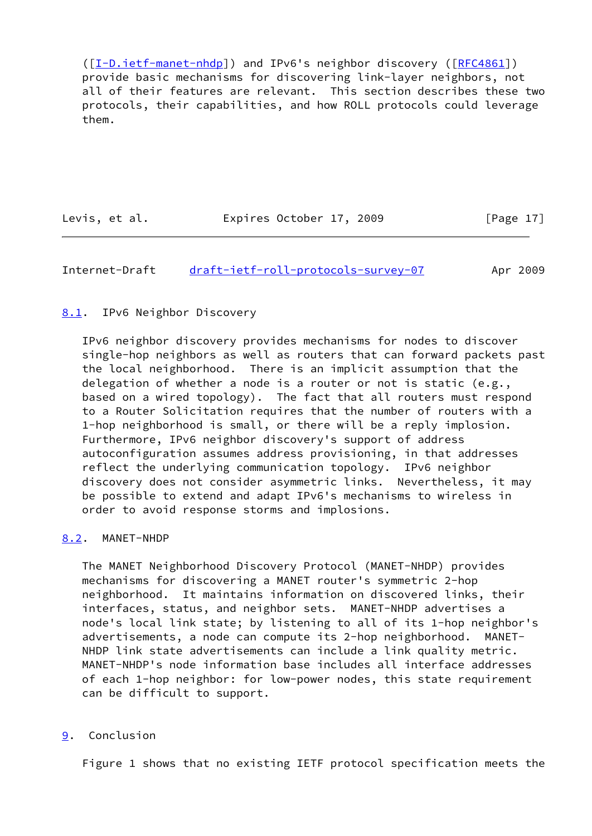([\[I-D.ietf-manet-nhdp](#page-21-7)]) and IPv6's neighbor discovery ([\[RFC4861](https://datatracker.ietf.org/doc/pdf/rfc4861)]) provide basic mechanisms for discovering link-layer neighbors, not all of their features are relevant. This section describes these two protocols, their capabilities, and how ROLL protocols could leverage them.

| Levis, et al. | Expires October 17, 2009 |  | [Page 17] |
|---------------|--------------------------|--|-----------|
|               |                          |  |           |

## <span id="page-19-1"></span>Internet-Draft [draft-ietf-roll-protocols-survey-07](https://datatracker.ietf.org/doc/pdf/draft-ietf-roll-protocols-survey-07) Apr 2009

#### <span id="page-19-0"></span>[8.1](#page-19-0). IPv6 Neighbor Discovery

 IPv6 neighbor discovery provides mechanisms for nodes to discover single-hop neighbors as well as routers that can forward packets past the local neighborhood. There is an implicit assumption that the delegation of whether a node is a router or not is static (e.g., based on a wired topology). The fact that all routers must respond to a Router Solicitation requires that the number of routers with a 1-hop neighborhood is small, or there will be a reply implosion. Furthermore, IPv6 neighbor discovery's support of address autoconfiguration assumes address provisioning, in that addresses reflect the underlying communication topology. IPv6 neighbor discovery does not consider asymmetric links. Nevertheless, it may be possible to extend and adapt IPv6's mechanisms to wireless in order to avoid response storms and implosions.

#### <span id="page-19-2"></span>[8.2](#page-19-2). MANET-NHDP

 The MANET Neighborhood Discovery Protocol (MANET-NHDP) provides mechanisms for discovering a MANET router's symmetric 2-hop neighborhood. It maintains information on discovered links, their interfaces, status, and neighbor sets. MANET-NHDP advertises a node's local link state; by listening to all of its 1-hop neighbor's advertisements, a node can compute its 2-hop neighborhood. MANET- NHDP link state advertisements can include a link quality metric. MANET-NHDP's node information base includes all interface addresses of each 1-hop neighbor: for low-power nodes, this state requirement can be difficult to support.

## <span id="page-19-3"></span>[9](#page-19-3). Conclusion

Figure 1 shows that no existing IETF protocol specification meets the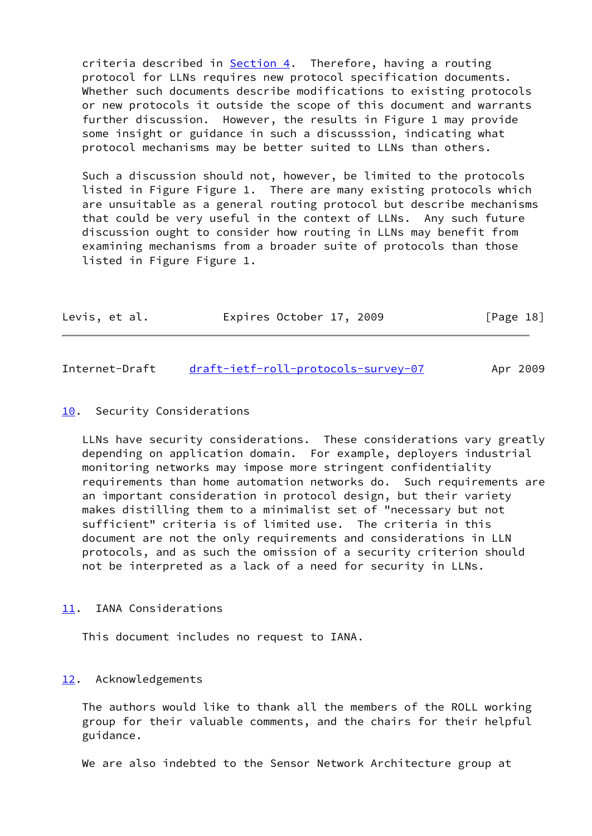criteria described in [Section 4.](#page-8-0) Therefore, having a routing protocol for LLNs requires new protocol specification documents. Whether such documents describe modifications to existing protocols or new protocols it outside the scope of this document and warrants further discussion. However, the results in Figure 1 may provide some insight or guidance in such a discusssion, indicating what protocol mechanisms may be better suited to LLNs than others.

 Such a discussion should not, however, be limited to the protocols listed in Figure Figure 1. There are many existing protocols which are unsuitable as a general routing protocol but describe mechanisms that could be very useful in the context of LLNs. Any such future discussion ought to consider how routing in LLNs may benefit from examining mechanisms from a broader suite of protocols than those listed in Figure Figure 1.

| Levis, et al. |  | Expires October 17, 2009 |  | [Page 18] |
|---------------|--|--------------------------|--|-----------|
|---------------|--|--------------------------|--|-----------|

<span id="page-20-1"></span>Internet-Draft [draft-ietf-roll-protocols-survey-07](https://datatracker.ietf.org/doc/pdf/draft-ietf-roll-protocols-survey-07) Apr 2009

#### <span id="page-20-0"></span>[10.](#page-20-0) Security Considerations

 LLNs have security considerations. These considerations vary greatly depending on application domain. For example, deployers industrial monitoring networks may impose more stringent confidentiality requirements than home automation networks do. Such requirements are an important consideration in protocol design, but their variety makes distilling them to a minimalist set of "necessary but not sufficient" criteria is of limited use. The criteria in this document are not the only requirements and considerations in LLN protocols, and as such the omission of a security criterion should not be interpreted as a lack of a need for security in LLNs.

<span id="page-20-2"></span>[11.](#page-20-2) IANA Considerations

This document includes no request to IANA.

#### <span id="page-20-3"></span>[12.](#page-20-3) Acknowledgements

 The authors would like to thank all the members of the ROLL working group for their valuable comments, and the chairs for their helpful guidance.

We are also indebted to the Sensor Network Architecture group at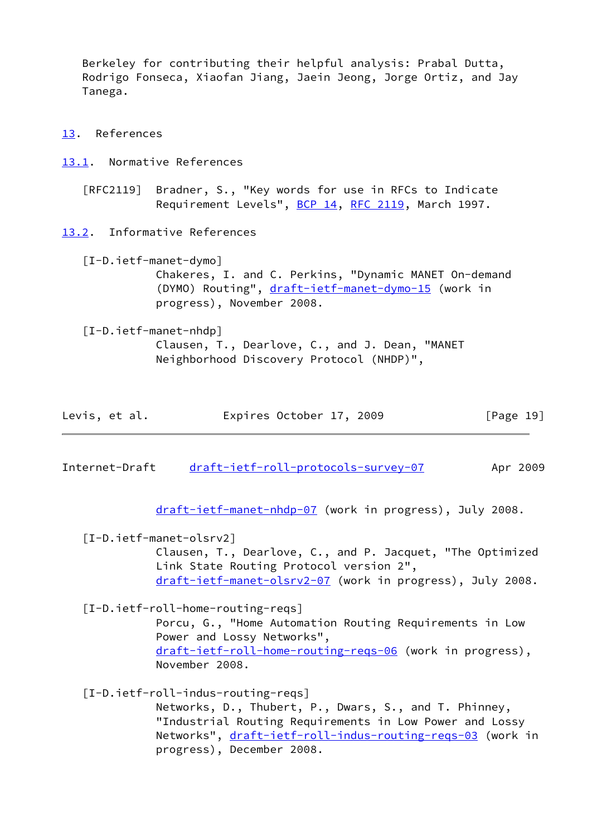Berkeley for contributing their helpful analysis: Prabal Dutta, Rodrigo Fonseca, Xiaofan Jiang, Jaein Jeong, Jorge Ortiz, and Jay Tanega.

- <span id="page-21-0"></span>[13.](#page-21-0) References
- <span id="page-21-1"></span>[13.1](#page-21-1). Normative References

 [RFC2119] Bradner, S., "Key words for use in RFCs to Indicate Requirement Levels", [BCP 14](https://datatracker.ietf.org/doc/pdf/bcp14), [RFC 2119](https://datatracker.ietf.org/doc/pdf/rfc2119), March 1997.

<span id="page-21-2"></span>[13.2](#page-21-2). Informative References

<span id="page-21-5"></span> [I-D.ietf-manet-dymo] Chakeres, I. and C. Perkins, "Dynamic MANET On-demand (DYMO) Routing", [draft-ietf-manet-dymo-15](https://datatracker.ietf.org/doc/pdf/draft-ietf-manet-dymo-15) (work in progress), November 2008.

<span id="page-21-7"></span> [I-D.ietf-manet-nhdp] Clausen, T., Dearlove, C., and J. Dean, "MANET Neighborhood Discovery Protocol (NHDP)",

| Levis, et al. | Expires October 17, 2009 |  | [Page 19] |
|---------------|--------------------------|--|-----------|
|---------------|--------------------------|--|-----------|

Internet-Draft [draft-ietf-roll-protocols-survey-07](https://datatracker.ietf.org/doc/pdf/draft-ietf-roll-protocols-survey-07) Apr 2009

[draft-ietf-manet-nhdp-07](https://datatracker.ietf.org/doc/pdf/draft-ietf-manet-nhdp-07) (work in progress), July 2008.

<span id="page-21-6"></span>[I-D.ietf-manet-olsrv2]

 Clausen, T., Dearlove, C., and P. Jacquet, "The Optimized Link State Routing Protocol version 2", [draft-ietf-manet-olsrv2-07](https://datatracker.ietf.org/doc/pdf/draft-ietf-manet-olsrv2-07) (work in progress), July 2008.

<span id="page-21-3"></span>[I-D.ietf-roll-home-routing-reqs]

 Porcu, G., "Home Automation Routing Requirements in Low Power and Lossy Networks", [draft-ietf-roll-home-routing-reqs-06](https://datatracker.ietf.org/doc/pdf/draft-ietf-roll-home-routing-reqs-06) (work in progress), November 2008.

<span id="page-21-4"></span>[I-D.ietf-roll-indus-routing-reqs]

 Networks, D., Thubert, P., Dwars, S., and T. Phinney, "Industrial Routing Requirements in Low Power and Lossy Networks", [draft-ietf-roll-indus-routing-reqs-03](https://datatracker.ietf.org/doc/pdf/draft-ietf-roll-indus-routing-reqs-03) (work in progress), December 2008.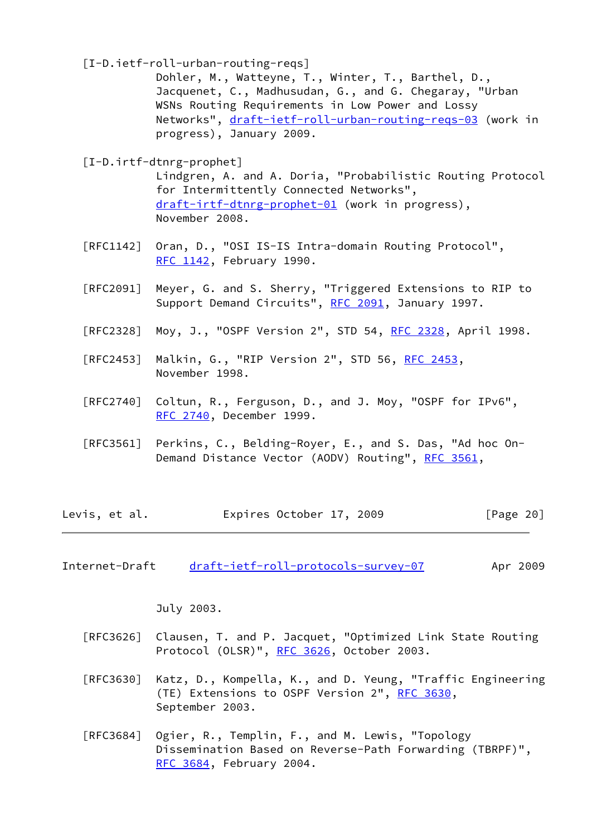<span id="page-22-2"></span>[I-D.ietf-roll-urban-routing-reqs]

 Dohler, M., Watteyne, T., Winter, T., Barthel, D., Jacquenet, C., Madhusudan, G., and G. Chegaray, "Urban WSNs Routing Requirements in Low Power and Lossy Networks", [draft-ietf-roll-urban-routing-reqs-03](https://datatracker.ietf.org/doc/pdf/draft-ietf-roll-urban-routing-reqs-03) (work in progress), January 2009.

<span id="page-22-1"></span>[I-D.irtf-dtnrg-prophet]

 Lindgren, A. and A. Doria, "Probabilistic Routing Protocol for Intermittently Connected Networks", [draft-irtf-dtnrg-prophet-01](https://datatracker.ietf.org/doc/pdf/draft-irtf-dtnrg-prophet-01) (work in progress), November 2008.

- [RFC1142] Oran, D., "OSI IS-IS Intra-domain Routing Protocol", [RFC 1142,](https://datatracker.ietf.org/doc/pdf/rfc1142) February 1990.
- [RFC2091] Meyer, G. and S. Sherry, "Triggered Extensions to RIP to Support Demand Circuits", [RFC 2091](https://datatracker.ietf.org/doc/pdf/rfc2091), January 1997.
- [RFC2328] Moy, J., "OSPF Version 2", STD 54, [RFC 2328](https://datatracker.ietf.org/doc/pdf/rfc2328), April 1998.
- [RFC2453] Malkin, G., "RIP Version 2", STD 56, [RFC 2453](https://datatracker.ietf.org/doc/pdf/rfc2453), November 1998.
- [RFC2740] Coltun, R., Ferguson, D., and J. Moy, "OSPF for IPv6", [RFC 2740,](https://datatracker.ietf.org/doc/pdf/rfc2740) December 1999.
- [RFC3561] Perkins, C., Belding-Royer, E., and S. Das, "Ad hoc On- Demand Distance Vector (AODV) Routing", [RFC 3561,](https://datatracker.ietf.org/doc/pdf/rfc3561)

| Expires October 17, 2009<br>Levis, et al. | [Page 20] |
|-------------------------------------------|-----------|
|-------------------------------------------|-----------|

<span id="page-22-0"></span>Internet-Draft [draft-ietf-roll-protocols-survey-07](https://datatracker.ietf.org/doc/pdf/draft-ietf-roll-protocols-survey-07) Apr 2009

July 2003.

- [RFC3626] Clausen, T. and P. Jacquet, "Optimized Link State Routing Protocol (OLSR)", [RFC 3626](https://datatracker.ietf.org/doc/pdf/rfc3626), October 2003.
- [RFC3630] Katz, D., Kompella, K., and D. Yeung, "Traffic Engineering (TE) Extensions to OSPF Version 2", [RFC 3630,](https://datatracker.ietf.org/doc/pdf/rfc3630) September 2003.
- [RFC3684] Ogier, R., Templin, F., and M. Lewis, "Topology Dissemination Based on Reverse-Path Forwarding (TBRPF)", [RFC 3684,](https://datatracker.ietf.org/doc/pdf/rfc3684) February 2004.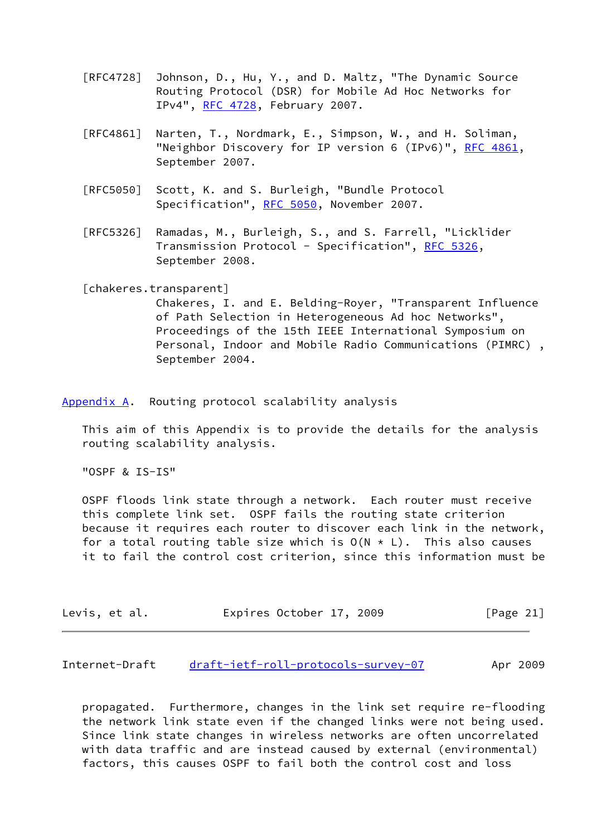- [RFC4728] Johnson, D., Hu, Y., and D. Maltz, "The Dynamic Source Routing Protocol (DSR) for Mobile Ad Hoc Networks for IPv4", [RFC 4728](https://datatracker.ietf.org/doc/pdf/rfc4728), February 2007.
- [RFC4861] Narten, T., Nordmark, E., Simpson, W., and H. Soliman, "Neighbor Discovery for IP version 6 (IPv6)", [RFC 4861](https://datatracker.ietf.org/doc/pdf/rfc4861), September 2007.
- [RFC5050] Scott, K. and S. Burleigh, "Bundle Protocol Specification", [RFC 5050,](https://datatracker.ietf.org/doc/pdf/rfc5050) November 2007.
- [RFC5326] Ramadas, M., Burleigh, S., and S. Farrell, "Licklider Transmission Protocol - Specification", [RFC 5326,](https://datatracker.ietf.org/doc/pdf/rfc5326) September 2008.

<span id="page-23-1"></span>[chakeres.transparent]

 Chakeres, I. and E. Belding-Royer, "Transparent Influence of Path Selection in Heterogeneous Ad hoc Networks", Proceedings of the 15th IEEE International Symposium on Personal, Indoor and Mobile Radio Communications (PIMRC) , September 2004.

<span id="page-23-0"></span>[Appendix A.](#page-23-0) Routing protocol scalability analysis

 This aim of this Appendix is to provide the details for the analysis routing scalability analysis.

"OSPF & IS-IS"

 OSPF floods link state through a network. Each router must receive this complete link set. OSPF fails the routing state criterion because it requires each router to discover each link in the network, for a total routing table size which is  $O(N * L)$ . This also causes it to fail the control cost criterion, since this information must be

| Levis, et al. |  |  | Expires October 17, 2009 |  |  | [Page 21] |  |
|---------------|--|--|--------------------------|--|--|-----------|--|
|---------------|--|--|--------------------------|--|--|-----------|--|

Internet-Draft [draft-ietf-roll-protocols-survey-07](https://datatracker.ietf.org/doc/pdf/draft-ietf-roll-protocols-survey-07) Apr 2009

 propagated. Furthermore, changes in the link set require re-flooding the network link state even if the changed links were not being used. Since link state changes in wireless networks are often uncorrelated with data traffic and are instead caused by external (environmental) factors, this causes OSPF to fail both the control cost and loss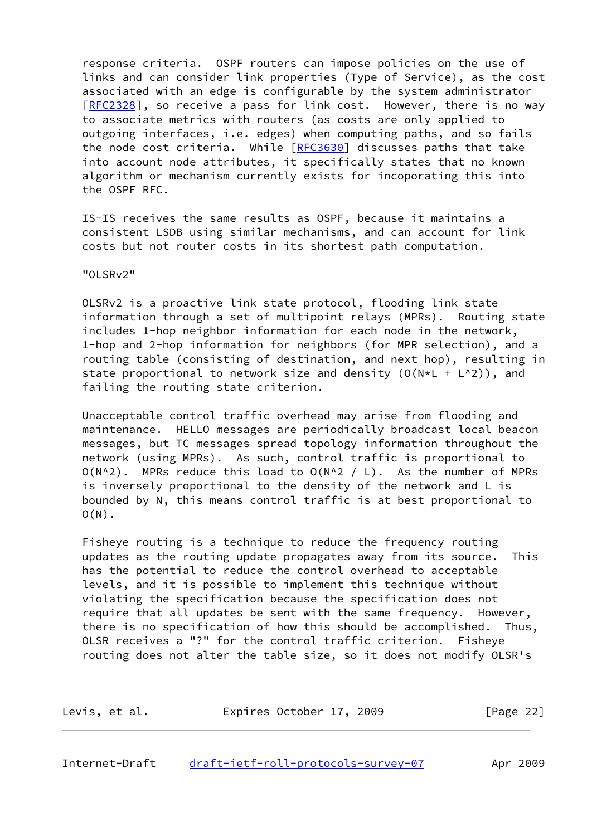response criteria. OSPF routers can impose policies on the use of links and can consider link properties (Type of Service), as the cost associated with an edge is configurable by the system administrator [\[RFC2328](https://datatracker.ietf.org/doc/pdf/rfc2328)], so receive a pass for link cost. However, there is no way to associate metrics with routers (as costs are only applied to outgoing interfaces, i.e. edges) when computing paths, and so fails the node cost criteria. While [\[RFC3630](https://datatracker.ietf.org/doc/pdf/rfc3630)] discusses paths that take into account node attributes, it specifically states that no known algorithm or mechanism currently exists for incoporating this into the OSPF RFC.

 IS-IS receives the same results as OSPF, because it maintains a consistent LSDB using similar mechanisms, and can account for link costs but not router costs in its shortest path computation.

"OLSRv2"

 OLSRv2 is a proactive link state protocol, flooding link state information through a set of multipoint relays (MPRs). Routing state includes 1-hop neighbor information for each node in the network, 1-hop and 2-hop information for neighbors (for MPR selection), and a routing table (consisting of destination, and next hop), resulting in state proportional to network size and density  $(0(N*L + L^2))$ , and failing the routing state criterion.

 Unacceptable control traffic overhead may arise from flooding and maintenance. HELLO messages are periodically broadcast local beacon messages, but TC messages spread topology information throughout the network (using MPRs). As such, control traffic is proportional to  $O(N^2)$ . MPRs reduce this load to  $O(N^2 / L)$ . As the number of MPRs is inversely proportional to the density of the network and L is bounded by N, this means control traffic is at best proportional to  $O(N)$ .

 Fisheye routing is a technique to reduce the frequency routing updates as the routing update propagates away from its source. This has the potential to reduce the control overhead to acceptable levels, and it is possible to implement this technique without violating the specification because the specification does not require that all updates be sent with the same frequency. However, there is no specification of how this should be accomplished. Thus, OLSR receives a "?" for the control traffic criterion. Fisheye routing does not alter the table size, so it does not modify OLSR's

| Levis, et al. |  |  | Expires October 17, 2009 |  |  |  | [Page 22] |  |
|---------------|--|--|--------------------------|--|--|--|-----------|--|
|---------------|--|--|--------------------------|--|--|--|-----------|--|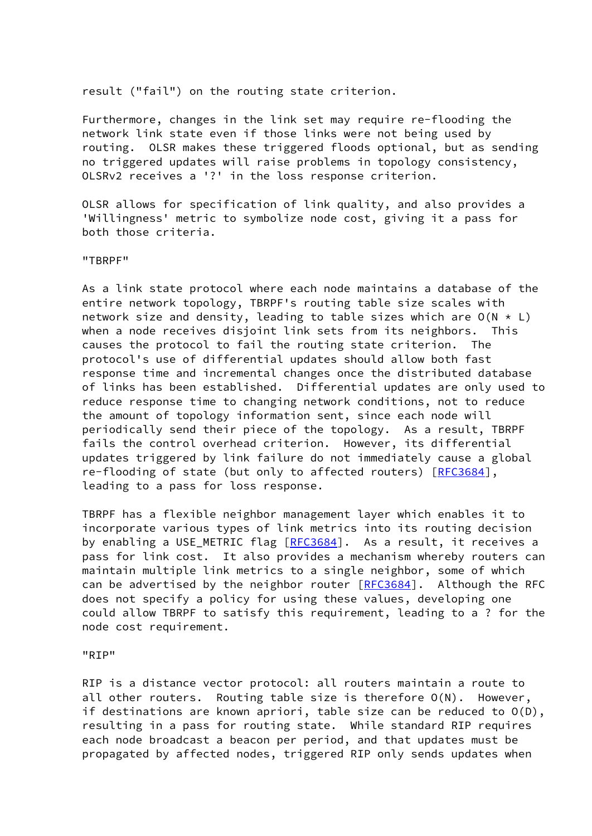result ("fail") on the routing state criterion.

 Furthermore, changes in the link set may require re-flooding the network link state even if those links were not being used by routing. OLSR makes these triggered floods optional, but as sending no triggered updates will raise problems in topology consistency, OLSRv2 receives a '?' in the loss response criterion.

 OLSR allows for specification of link quality, and also provides a 'Willingness' metric to symbolize node cost, giving it a pass for both those criteria.

"TBRPF"

 As a link state protocol where each node maintains a database of the entire network topology, TBRPF's routing table size scales with network size and density, leading to table sizes which are  $O(N * L)$  when a node receives disjoint link sets from its neighbors. This causes the protocol to fail the routing state criterion. The protocol's use of differential updates should allow both fast response time and incremental changes once the distributed database of links has been established. Differential updates are only used to reduce response time to changing network conditions, not to reduce the amount of topology information sent, since each node will periodically send their piece of the topology. As a result, TBRPF fails the control overhead criterion. However, its differential updates triggered by link failure do not immediately cause a global re-flooding of state (but only to affected routers) [\[RFC3684](https://datatracker.ietf.org/doc/pdf/rfc3684)], leading to a pass for loss response.

 TBRPF has a flexible neighbor management layer which enables it to incorporate various types of link metrics into its routing decision by enabling a USE METRIC flag [[RFC3684](https://datatracker.ietf.org/doc/pdf/rfc3684)]. As a result, it receives a pass for link cost. It also provides a mechanism whereby routers can maintain multiple link metrics to a single neighbor, some of which can be advertised by the neighbor router [\[RFC3684](https://datatracker.ietf.org/doc/pdf/rfc3684)]. Although the RFC does not specify a policy for using these values, developing one could allow TBRPF to satisfy this requirement, leading to a ? for the node cost requirement.

"RIP"

 RIP is a distance vector protocol: all routers maintain a route to all other routers. Routing table size is therefore O(N). However, if destinations are known apriori, table size can be reduced to O(D), resulting in a pass for routing state. While standard RIP requires each node broadcast a beacon per period, and that updates must be propagated by affected nodes, triggered RIP only sends updates when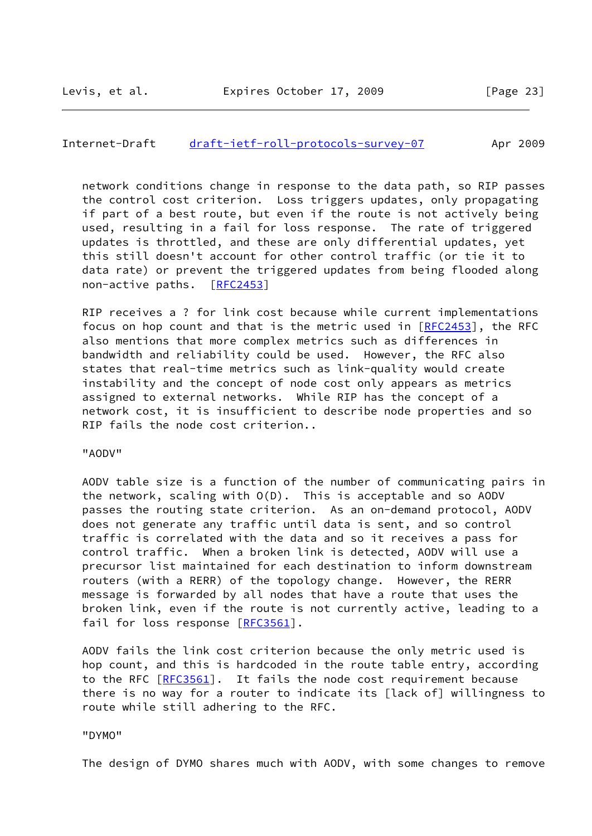#### Internet-Draft [draft-ietf-roll-protocols-survey-07](https://datatracker.ietf.org/doc/pdf/draft-ietf-roll-protocols-survey-07) Apr 2009

 network conditions change in response to the data path, so RIP passes the control cost criterion. Loss triggers updates, only propagating if part of a best route, but even if the route is not actively being used, resulting in a fail for loss response. The rate of triggered updates is throttled, and these are only differential updates, yet this still doesn't account for other control traffic (or tie it to data rate) or prevent the triggered updates from being flooded along non-active paths. [[RFC2453\]](https://datatracker.ietf.org/doc/pdf/rfc2453)

 RIP receives a ? for link cost because while current implementations focus on hop count and that is the metric used in [[RFC2453](https://datatracker.ietf.org/doc/pdf/rfc2453)], the RFC also mentions that more complex metrics such as differences in bandwidth and reliability could be used. However, the RFC also states that real-time metrics such as link-quality would create instability and the concept of node cost only appears as metrics assigned to external networks. While RIP has the concept of a network cost, it is insufficient to describe node properties and so RIP fails the node cost criterion..

"AODV"

 AODV table size is a function of the number of communicating pairs in the network, scaling with O(D). This is acceptable and so AODV passes the routing state criterion. As an on-demand protocol, AODV does not generate any traffic until data is sent, and so control traffic is correlated with the data and so it receives a pass for control traffic. When a broken link is detected, AODV will use a precursor list maintained for each destination to inform downstream routers (with a RERR) of the topology change. However, the RERR message is forwarded by all nodes that have a route that uses the broken link, even if the route is not currently active, leading to a fail for loss response [\[RFC3561](https://datatracker.ietf.org/doc/pdf/rfc3561)].

 AODV fails the link cost criterion because the only metric used is hop count, and this is hardcoded in the route table entry, according to the RFC [[RFC3561\]](https://datatracker.ietf.org/doc/pdf/rfc3561). It fails the node cost requirement because there is no way for a router to indicate its [lack of] willingness to route while still adhering to the RFC.

"DYMO"

The design of DYMO shares much with AODV, with some changes to remove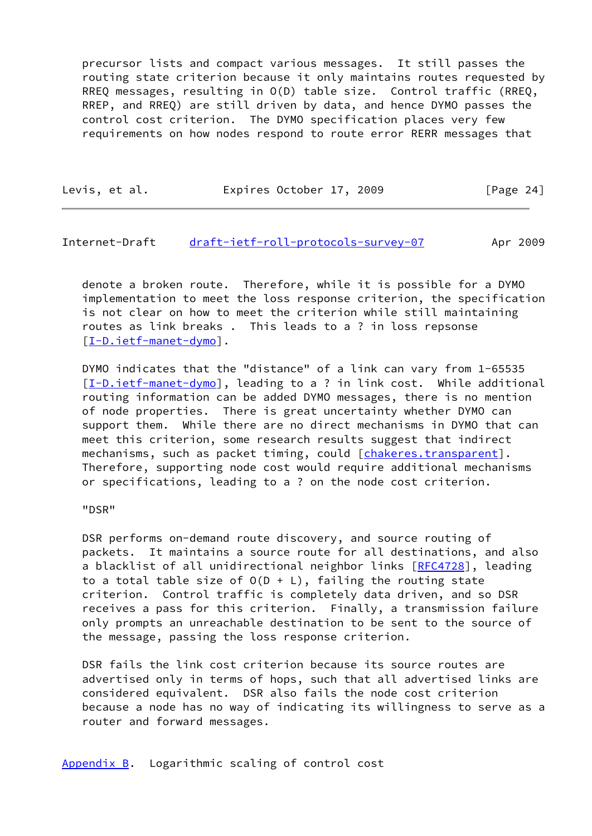precursor lists and compact various messages. It still passes the routing state criterion because it only maintains routes requested by RREQ messages, resulting in O(D) table size. Control traffic (RREQ, RREP, and RREQ) are still driven by data, and hence DYMO passes the control cost criterion. The DYMO specification places very few requirements on how nodes respond to route error RERR messages that

| Levis, et al. | Expires October 17, 2009 |  | [Page 24] |  |
|---------------|--------------------------|--|-----------|--|
|               |                          |  |           |  |

<span id="page-27-1"></span>Internet-Draft [draft-ietf-roll-protocols-survey-07](https://datatracker.ietf.org/doc/pdf/draft-ietf-roll-protocols-survey-07) Apr 2009

 denote a broken route. Therefore, while it is possible for a DYMO implementation to meet the loss response criterion, the specification is not clear on how to meet the criterion while still maintaining routes as link breaks . This leads to a ? in loss repsonse [\[I-D.ietf-manet-dymo](#page-21-5)].

 DYMO indicates that the "distance" of a link can vary from 1-65535 [\[I-D.ietf-manet-dymo](#page-21-5)], leading to a ? in link cost. While additional routing information can be added DYMO messages, there is no mention of node properties. There is great uncertainty whether DYMO can support them. While there are no direct mechanisms in DYMO that can meet this criterion, some research results suggest that indirect mechanisms, such as packet timing, could [\[chakeres.transparent](#page-23-1)]. Therefore, supporting node cost would require additional mechanisms or specifications, leading to a ? on the node cost criterion.

"DSR"

 DSR performs on-demand route discovery, and source routing of packets. It maintains a source route for all destinations, and also a blacklist of all unidirectional neighbor links [\[RFC4728](https://datatracker.ietf.org/doc/pdf/rfc4728)], leading to a total table size of  $O(D + L)$ , failing the routing state criterion. Control traffic is completely data driven, and so DSR receives a pass for this criterion. Finally, a transmission failure only prompts an unreachable destination to be sent to the source of the message, passing the loss response criterion.

 DSR fails the link cost criterion because its source routes are advertised only in terms of hops, such that all advertised links are considered equivalent. DSR also fails the node cost criterion because a node has no way of indicating its willingness to serve as a router and forward messages.

<span id="page-27-0"></span>[Appendix B.](#page-27-0) Logarithmic scaling of control cost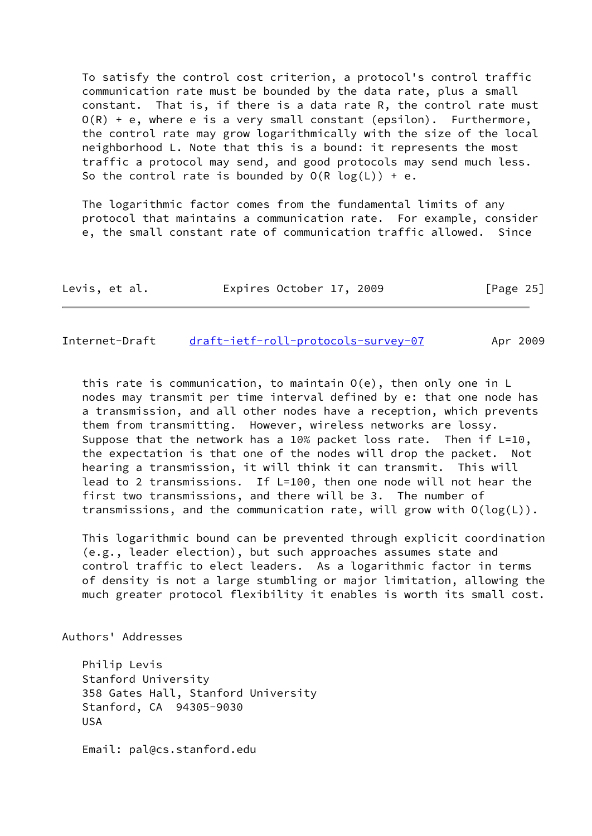To satisfy the control cost criterion, a protocol's control traffic communication rate must be bounded by the data rate, plus a small constant. That is, if there is a data rate R, the control rate must  $O(R) + e$ , where e is a very small constant (epsilon). Furthermore, the control rate may grow logarithmically with the size of the local neighborhood L. Note that this is a bound: it represents the most traffic a protocol may send, and good protocols may send much less. So the control rate is bounded by  $O(R \log(L)) + e$ .

 The logarithmic factor comes from the fundamental limits of any protocol that maintains a communication rate. For example, consider e, the small constant rate of communication traffic allowed. Since

| Levis, et al. | Expires October 17, 2009 | [Page 25] |
|---------------|--------------------------|-----------|
|---------------|--------------------------|-----------|

<span id="page-28-0"></span>Internet-Draft [draft-ietf-roll-protocols-survey-07](https://datatracker.ietf.org/doc/pdf/draft-ietf-roll-protocols-survey-07) Apr 2009

 this rate is communication, to maintain O(e), then only one in L nodes may transmit per time interval defined by e: that one node has a transmission, and all other nodes have a reception, which prevents them from transmitting. However, wireless networks are lossy. Suppose that the network has a 10% packet loss rate. Then if L=10, the expectation is that one of the nodes will drop the packet. Not hearing a transmission, it will think it can transmit. This will lead to 2 transmissions. If L=100, then one node will not hear the first two transmissions, and there will be 3. The number of transmissions, and the communication rate, will grow with O(log(L)).

 This logarithmic bound can be prevented through explicit coordination (e.g., leader election), but such approaches assumes state and control traffic to elect leaders. As a logarithmic factor in terms of density is not a large stumbling or major limitation, allowing the much greater protocol flexibility it enables is worth its small cost.

Authors' Addresses

 Philip Levis Stanford University 358 Gates Hall, Stanford University Stanford, CA 94305-9030 USA

Email: pal@cs.stanford.edu